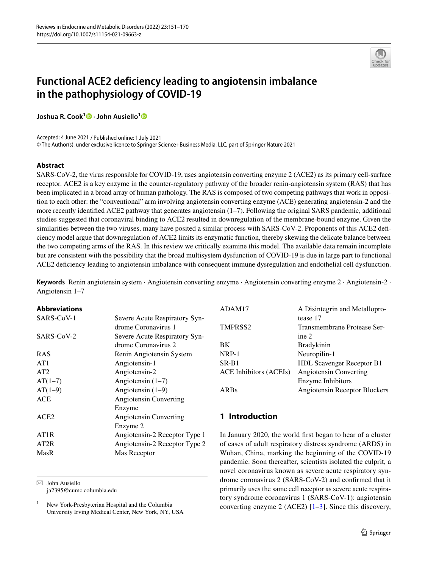

# **Functional ACE2 deficiency leading to angiotensin imbalance in the pathophysiology of COVID‑19**

**JoshuaR. Cook<sup>[1](http://orcid.org/0000-0003-2097-6839)</sup> <b>D** · John Ausiello<sup>1</sup> **D** 

Accepted: 4 June 2021 / Published online: 1 July 2021 © The Author(s), under exclusive licence to Springer Science+Business Media, LLC, part of Springer Nature 2021

#### **Abstract**

SARS-CoV-2, the virus responsible for COVID-19, uses angiotensin converting enzyme 2 (ACE2) as its primary cell-surface receptor. ACE2 is a key enzyme in the counter-regulatory pathway of the broader renin-angiotensin system (RAS) that has been implicated in a broad array of human pathology. The RAS is composed of two competing pathways that work in opposition to each other: the "conventional" arm involving angiotensin converting enzyme (ACE) generating angiotensin-2 and the more recently identified ACE2 pathway that generates angiotensin (1–7). Following the original SARS pandemic, additional studies suggested that coronaviral binding to ACE2 resulted in downregulation of the membrane-bound enzyme. Given the similarities between the two viruses, many have posited a similar process with SARS-CoV-2. Proponents of this ACE2 deficiency model argue that downregulation of ACE2 limits its enzymatic function, thereby skewing the delicate balance between the two competing arms of the RAS. In this review we critically examine this model. The available data remain incomplete but are consistent with the possibility that the broad multisystem dysfunction of COVID-19 is due in large part to functional ACE2 deficiency leading to angiotensin imbalance with consequent immune dysregulation and endothelial cell dysfunction.

**Keywords** Renin angiotensin system · Angiotensin converting enzyme · Angiotensin converting enzyme 2 · Angiotensin-2 · Angiotensin 1–7

#### **Abbreviations**

| SARS-CoV-1       | Severe Acute Respiratory Syn-<br>drome Coronavirus 1 |
|------------------|------------------------------------------------------|
| SARS-CoV-2       | Severe Acute Respiratory Syn-<br>drome Coronavirus 2 |
| <b>RAS</b>       | Renin Angiotensin System                             |
| AT <sub>1</sub>  | Angiotensin-1                                        |
| AT2              | Angiotensin-2                                        |
| $AT(1-7)$        | Angiotensin $(1-7)$                                  |
| $AT(1-9)$        | Angiotensin $(1-9)$                                  |
| <b>ACE</b>       | Angiotensin Converting                               |
|                  | Enzyme                                               |
| ACE <sub>2</sub> | Angiotensin Converting                               |
|                  | Enzyme 2                                             |
| AT1R             | Angiotensin-2 Receptor Type 1                        |
| AT2R             | Angiotensin-2 Receptor Type 2                        |
| MasR             | Mas Receptor                                         |
|                  |                                                      |

 $\boxtimes$  John Ausiello ja2395@cumc.columbia.edu

| ADAM17                        | A Disintegrin and Metallopro-    |
|-------------------------------|----------------------------------|
|                               | tease 17                         |
| TMPRSS <sub>2</sub>           | Transmembrane Protease Ser-      |
|                               | ine $2$                          |
| <b>BK</b>                     | <b>Bradykinin</b>                |
| $NRP-1$                       | Neuropilin-1                     |
| $SR-B1$                       | <b>HDL Scavenger Receptor B1</b> |
| <b>ACE Inhibitors (ACEIs)</b> | Angiotensin Converting           |
|                               | Enzyme Inhibitors                |
| <b>ARBs</b>                   | Angiotensin Receptor Blockers    |
|                               |                                  |

# **1 Introduction**

In January 2020, the world frst began to hear of a cluster of cases of adult respiratory distress syndrome (ARDS) in Wuhan, China, marking the beginning of the COVID-19 pandemic. Soon thereafter, scientists isolated the culprit, a novel coronavirus known as severe acute respiratory syndrome coronavirus 2 (SARS-CoV-2) and confrmed that it primarily uses the same cell receptor as severe acute respiratory syndrome coronavirus 1 (SARS-CoV-1): angiotensin converting enzyme 2 (ACE2)  $[1-3]$  $[1-3]$  $[1-3]$ . Since this discovery,

<sup>&</sup>lt;sup>1</sup> New York-Presbyterian Hospital and the Columbia University Irving Medical Center, New York, NY, USA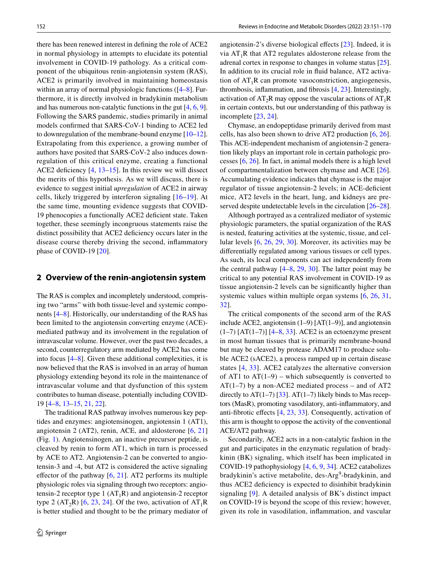there has been renewed interest in defning the role of ACE2 in normal physiology in attempts to elucidate its potential involvement in COVID-19 pathology. As a critical component of the ubiquitous renin-angiotensin system (RAS), ACE2 is primarily involved in maintaining homeostasis within an array of normal physiologic functions ( $[4-8]$  $[4-8]$ . Furthermore, it is directly involved in bradykinin metabolism and has numerous non-catalytic functions in the gut [\[4](#page-13-1), [6,](#page-13-3) [9](#page-13-4)]. Following the SARS pandemic, studies primarily in animal models confrmed that SARS-CoV-1 binding to ACE2 led to downregulation of the membrane-bound enzyme [[10](#page-13-5)[–12](#page-13-6)]. Extrapolating from this experience, a growing number of authors have posited that SARS-CoV-2 also induces downregulation of this critical enzyme, creating a functional ACE2 deficiency  $[4, 13-15]$  $[4, 13-15]$  $[4, 13-15]$ . In this review we will dissect the merits of this hypothesis. As we will discuss, there is evidence to suggest initial *upregulation* of ACE2 in airway cells, likely triggered by interferon signaling [[16](#page-13-9)–[19\]](#page-13-10). At the same time, mounting evidence suggests that COVID-19 phenocopies a functionally ACE2 defcient state. Taken together, these seemingly incongruous statements raise the distinct possibility that ACE2 defciency occurs later in the disease course thereby driving the second, infammatory phase of COVID-19 [\[20](#page-13-11)].

#### **2 Overview of the renin‑angiotensin system**

The RAS is complex and incompletely understood, comprising two "arms" with both tissue-level and systemic components [[4](#page-13-1)[–8](#page-13-2)]. Historically, our understanding of the RAS has been limited to the angiotensin converting enzyme (ACE) mediated pathway and its involvement in the regulation of intravascular volume. However, over the past two decades, a second, counterregulatory arm mediated by ACE2 has come into focus [[4–](#page-13-1)[8\]](#page-13-2). Given these additional complexities, it is now believed that the RAS is involved in an array of human physiology extending beyond its role in the maintenance of intravascular volume and that dysfunction of this system contributes to human disease, potentially including COVID-19 [[4–](#page-13-1)[8](#page-13-2), [13](#page-13-7)[–15](#page-13-8), [21](#page-13-12), [22](#page-13-13)].

The traditional RAS pathway involves numerous key peptides and enzymes: angiotensinogen, angiotensin 1 (AT1), angiotensin 2 (AT2), renin, ACE, and aldosterone [[6,](#page-13-3) [21\]](#page-13-12) (Fig. [1\)](#page-2-0). Angiotensinogen, an inactive precursor peptide, is cleaved by renin to form AT1, which in turn is processed by ACE to AT2. Angiotensin-2 can be converted to angiotensin-3 and -4, but AT2 is considered the active signaling effector of the pathway  $[6, 21]$  $[6, 21]$  $[6, 21]$ . AT2 performs its multiple physiologic roles via signaling through two receptors: angiotensin-2 receptor type 1  $(AT_1R)$  and angiotensin-2 receptor type 2 (AT<sub>2</sub>R) [[6](#page-13-3), [23,](#page-13-14) [24\]](#page-13-15). Of the two, activation of  $AT_1R$ is better studied and thought to be the primary mediator of angiotensin-2's diverse biological efects [[23\]](#page-13-14). Indeed, it is via  $AT_1R$  that AT2 regulates aldosterone release from the adrenal cortex in response to changes in volume status [\[25](#page-13-16)]. In addition to its crucial role in fuid balance, AT2 activation of  $AT_1R$  can promote vasoconstriction, angiogenesis, thrombosis, infammation, and fbrosis [[4,](#page-13-1) [23](#page-13-14)]. Interestingly, activation of  $AT_2R$  may oppose the vascular actions of  $AT_1R$ in certain contexts, but our understanding of this pathway is incomplete [[23,](#page-13-14) [24\]](#page-13-15).

Chymase, an endopeptidase primarily derived from mast cells, has also been shown to drive AT2 production [\[6](#page-13-3), [26](#page-13-17)]. This ACE-independent mechanism of angiotensin-2 generation likely plays an important role in certain pathologic processes [[6](#page-13-3), [26\]](#page-13-17). In fact, in animal models there is a high level of compartmentalization between chymase and ACE [\[26](#page-13-17)]. Accumulating evidence indicates that chymase is the major regulator of tissue angiotensin-2 levels; in ACE-defcient mice, AT2 levels in the heart, lung, and kidneys are pre-served despite undetectable levels in the circulation [[26–](#page-13-17)[28](#page-13-18)].

Although portrayed as a centralized mediator of systemic physiologic parameters, the spatial organization of the RAS is nested, featuring activities at the systemic, tissue, and cellular levels [\[6](#page-13-3), [26,](#page-13-17) [29](#page-13-19), [30](#page-13-20)]. Moreover, its activities may be diferentially regulated among various tissues or cell types. As such, its local components can act independently from the central pathway  $[4–8, 29, 30]$  $[4–8, 29, 30]$  $[4–8, 29, 30]$  $[4–8, 29, 30]$  $[4–8, 29, 30]$  $[4–8, 29, 30]$  $[4–8, 29, 30]$ . The latter point may be critical to any potential RAS involvement in COVID-19 as tissue angiotensin-2 levels can be signifcantly higher than systemic values within multiple organ systems  $[6, 26, 31]$  $[6, 26, 31]$  $[6, 26, 31]$  $[6, 26, 31]$ , [32](#page-14-0)].

The critical components of the second arm of the RAS include ACE2, angiotensin (1–9) [AT(1–9)], and angiotensin  $(1-7)$  [AT(1-7)] [4-[8,](#page-13-2) [33\]](#page-14-1). ACE2 is an ectoenzyme present in most human tissues that is primarily membrane-bound but may be cleaved by protease ADAM17 to produce soluble ACE2 (sACE2), a process ramped up in certain disease states [[4](#page-13-1), [33](#page-14-1)]. ACE2 catalyzes the alternative conversion of AT1 to  $AT(1-9)$  – which subsequently is converted to  $AT(1-7)$  by a non-ACE2 mediated process – and of AT2 directly to AT(1–7) [[33\]](#page-14-1). AT(1–7) likely binds to Mas receptors (MasR), promoting vasodilatory, anti-infammatory, and anti-fbrotic efects [[4](#page-13-1), [23](#page-13-14), [33\]](#page-14-1). Consequently, activation of this arm is thought to oppose the activity of the conventional ACE/AT2 pathway.

Secondarily, ACE2 acts in a non-catalytic fashion in the gut and participates in the enzymatic regulation of bradykinin (BK) signaling, which itself has been implicated in COVID-19 pathophysiology [\[4](#page-13-1), [6,](#page-13-3) [9,](#page-13-4) [34\]](#page-14-2). ACE2 catabolizes bradykinin's active metabolite, des-Arg<sup>9</sup>-bradykinin, and thus ACE2 deficiency is expected to disinhibit bradykinin signaling [[9\]](#page-13-4). A detailed analysis of BK's distinct impact on COVID-19 is beyond the scope of this review; however, given its role in vasodilation, infammation, and vascular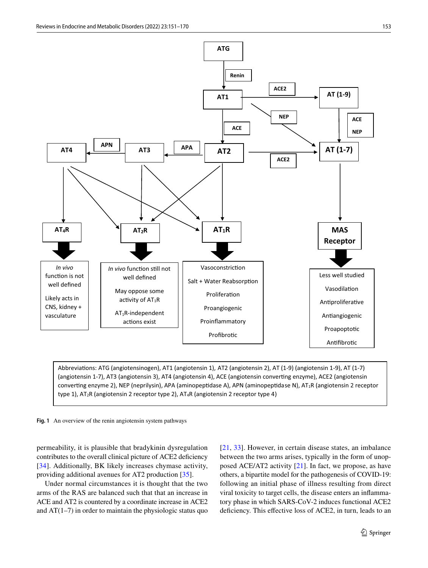

Abbreviations: ATG (angiotensinogen), AT1 (angiotensin 1), AT2 (angiotensin 2), AT (1-9) (angiotensin 1-9), AT (1-7) (angiotensin 1-7), AT3 (angiotensin 3), AT4 (angiotensin 4), ACE (angiotensin converting enzyme), ACE2 (angiotensin converting enzyme 2), NEP (neprilysin), APA (aminopeptidase A), APN (aminopeptidase N), AT<sub>1</sub>R (angiotensin 2 receptor type 1),  $AT_2R$  (angiotensin 2 receptor type 2),  $AT_4R$  (angiotensin 2 receptor type 4)

<span id="page-2-0"></span>

permeability, it is plausible that bradykinin dysregulation contributes to the overall clinical picture of ACE2 deficiency [[34\]](#page-14-2). Additionally, BK likely increases chymase activity, providing additional avenues for AT2 production [[35\]](#page-14-3).

Under normal circumstances it is thought that the two arms of the RAS are balanced such that that an increase in ACE and AT2 is countered by a coordinate increase in ACE2 and  $AT(1-7)$  in order to maintain the physiologic status quo [[21,](#page-13-12) [33\]](#page-14-1). However, in certain disease states, an imbalance between the two arms arises, typically in the form of unopposed ACE/AT2 activity [[21\]](#page-13-12). In fact, we propose, as have others, a bipartite model for the pathogenesis of COVID-19: following an initial phase of illness resulting from direct viral toxicity to target cells, the disease enters an infammatory phase in which SARS-CoV-2 induces functional ACE2 defciency. This efective loss of ACE2, in turn, leads to an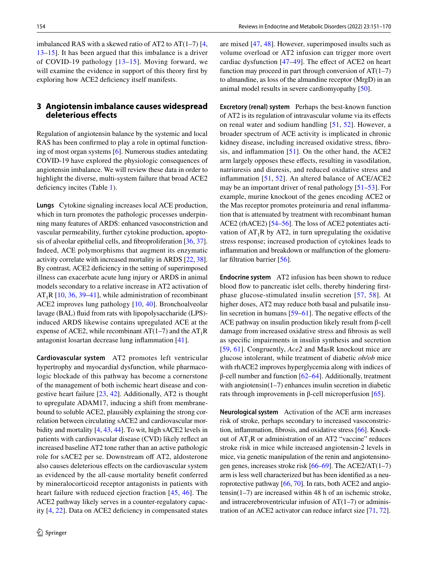imbalanced RAS with a skewed ratio of AT2 to AT $(1-7)$  [[4,](#page-13-1) [13](#page-13-7)[–15\]](#page-13-8). It has been argued that this imbalance is a driver of COVID-19 pathology [\[13–](#page-13-7)[15\]](#page-13-8). Moving forward, we will examine the evidence in support of this theory first by exploring how ACE2 defciency itself manifests.

# **3 Angiotensin imbalance causes widespread deleterious effects**

Regulation of angiotensin balance by the systemic and local RAS has been confrmed to play a role in optimal functioning of most organ systems [\[6](#page-13-3)]. Numerous studies antedating COVID-19 have explored the physiologic consequences of angiotensin imbalance. We will review these data in order to highlight the diverse, multi-system failure that broad ACE2 deficiency incites (Table [1](#page-4-0)).

**Lungs** Cytokine signaling increases local ACE production, which in turn promotes the pathologic processes underpinning many features of ARDS: enhanced vasoconstriction and vascular permeability, further cytokine production, apoptosis of alveolar epithelial cells, and fbroproliferation [[36,](#page-14-4) [37](#page-14-5)]. Indeed, ACE polymorphisms that augment its enzymatic activity correlate with increased mortality in ARDS [\[22](#page-13-13), [38](#page-14-6)]. By contrast, ACE2 deficiency in the setting of superimposed illness can exacerbate acute lung injury or ARDS in animal models secondary to a relative increase in AT2 activation of  $AT_1R$  [[10,](#page-13-5) [36,](#page-14-4) [39–](#page-14-7)[41\]](#page-14-8), while administration of recombinant ACE2 improves lung pathology [\[10](#page-13-5), [40](#page-14-9)]. Bronchoalveolar lavage (BAL) fluid from rats with lipopolysaccharide (LPS)induced ARDS likewise contains upregulated ACE at the expense of ACE2, while recombinant AT(1–7) and the  $AT_1R$ antagonist losartan decrease lung infammation [\[41](#page-14-8)].

**Cardiovascular system** AT2 promotes left ventricular hypertrophy and myocardial dysfunction, while pharmacologic blockade of this pathway has become a cornerstone of the management of both ischemic heart disease and congestive heart failure [[23,](#page-13-14) [42](#page-14-10)]. Additionally, AT2 is thought to upregulate ADAM17, inducing a shift from membranebound to soluble ACE2, plausibly explaining the strong correlation between circulating sACE2 and cardiovascular morbidity and mortality [[4](#page-13-1), [43,](#page-14-11) [44](#page-14-12)]. To wit, high sACE2 levels in patients with cardiovascular disease (CVD) likely refect an increased baseline AT2 tone rather than an active pathologic role for sACE2 per se. Downstream off AT2, aldosterone also causes deleterious efects on the cardiovascular system as evidenced by the all-cause mortality beneft conferred by mineralocorticoid receptor antagonists in patients with heart failure with reduced ejection fraction [[45,](#page-14-13) [46](#page-14-14)]. The ACE2 pathway likely serves in a counter-regulatory capacity [[4,](#page-13-1) [22\]](#page-13-13). Data on ACE2 defciency in compensated states are mixed [\[47](#page-14-15), [48](#page-14-16)]. However, superimposed insults such as volume overload or AT2 infusion can trigger more overt cardiac dysfunction [[47–](#page-14-15)[49](#page-14-17)]. The efect of ACE2 on heart function may proceed in part through conversion of  $AT(1-7)$ to almandine, as loss of the almandine receptor (MrgD) in an animal model results in severe cardiomyopathy [[50\]](#page-14-18).

**Excretory (renal) system** Perhaps the best-known function of AT2 is its regulation of intravascular volume via its efects on renal water and sodium handling [\[51,](#page-14-19) [52\]](#page-14-20). However, a broader spectrum of ACE activity is implicated in chronic kidney disease, including increased oxidative stress, fbrosis, and inflammation  $[51]$ . On the other hand, the ACE2 arm largely opposes these efects, resulting in vasodilation, natriuresis and diuresis, and reduced oxidative stress and infammation [[51,](#page-14-19) [52\]](#page-14-20). An altered balance of ACE/ACE2 may be an important driver of renal pathology [[51](#page-14-19)[–53](#page-14-21)]. For example, murine knockout of the genes encoding ACE2 or the Mas receptor promotes proteinuria and renal infammation that is attenuated by treatment with recombinant human ACE2 (rhACE2) [\[54](#page-14-22)[–56](#page-14-23)]. The loss of ACE2 potentiates activation of  $AT_1R$  by  $AT_2$ , in turn upregulating the oxidative stress response; increased production of cytokines leads to infammation and breakdown or malfunction of the glomeru-lar filtration barrier [[56\]](#page-14-23).

**Endocrine system** AT2 infusion has been shown to reduce blood flow to pancreatic islet cells, thereby hindering firstphase glucose-stimulated insulin secretion [\[57](#page-14-24), [58](#page-14-25)]. At higher doses, AT2 may reduce both basal and pulsatile insu-lin secretion in humans [[59–](#page-14-26)[61](#page-14-27)]. The negative effects of the ACE pathway on insulin production likely result from β-cell damage from increased oxidative stress and fbrosis as well as specifc impairments in insulin synthesis and secretion [[59,](#page-14-26) [61](#page-14-27)]. Congruently, *Ace2* and MasR knockout mice are glucose intolerant, while treatment of diabetic *ob/ob* mice with rhACE2 improves hyperglycemia along with indices of β-cell number and function [\[62](#page-14-28)[–64](#page-15-0)]. Additionally, treatment with angiotensin(1–7) enhances insulin secretion in diabetic rats through improvements in β-cell microperfusion [\[65](#page-15-1)].

**Neurological system** Activation of the ACE arm increases risk of stroke, perhaps secondary to increased vasoconstriction, infammation, fbrosis, and oxidative stress [[66\]](#page-15-2). Knockout of  $AT_1R$  or administration of an AT2 "vaccine" reduces stroke risk in mice while increased angiotensin-2 levels in mice, via genetic manipulation of the renin and angiotensinogen genes, increases stroke risk [\[66](#page-15-2)[–69\]](#page-15-3). The ACE2/AT(1–7) arm is less well characterized but has been identifed as a neuroprotective pathway [\[66](#page-15-2), [70\]](#page-15-4). In rats, both ACE2 and angiotensin(1–7) are increased within 48 h of an ischemic stroke, and intracerebroventricular infusion of  $AT(1-7)$  or administration of an ACE2 activator can reduce infarct size [\[71](#page-15-5), [72\]](#page-15-6).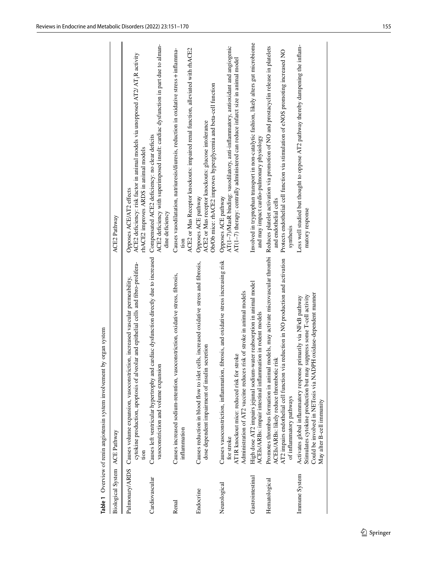<span id="page-4-0"></span>

| Biological System ACE Pathway |                                                                                                                                                                                                                                                  | <b>ACE2</b> Pathway                                                                                                                                                                                              |
|-------------------------------|--------------------------------------------------------------------------------------------------------------------------------------------------------------------------------------------------------------------------------------------------|------------------------------------------------------------------------------------------------------------------------------------------------------------------------------------------------------------------|
|                               | cytokine production, apoptosis of alveolar and epithelial cells and fibro-prolifera-<br>Pulmonary/ARDS Causes volume expansion, vasoconstriction, increased vascular permeability,<br>tion                                                       | ACE2 deficiency: risk factor in animal models via unopposed AT2/ AT <sub>1</sub> R activity<br>rhACE2 improves ARDS in animal models<br>Opposes ACE/AT2 effects                                                  |
| Cardiovascular                | Causes left ventricular hypertrophy and cardiac dysfunction directly due to increased<br>vasoconstriction and volume expansion                                                                                                                   | ACE2 deficiency with superimposed insult: cardiac dysfunction in part due to alman-<br>Compensated ACE2 deficiency: no clear deficits<br>dine deficiency                                                         |
| Renal                         | Causes increased sodium-retention, vasoconstriction, oxidative stress, fibrosis,<br>inflammation                                                                                                                                                 | ACE2 or Mas Receptor knockouts: impaired renal function, alleviated with rhACE2<br>Causes vasodilatation, natriuresis/diuresis, reduction in oxidative stress + inflamma-<br>tion                                |
| Endocrine                     | Causes reduction in blood flow to islet cells, increased oxidative stress and fibrosis,<br>dose dependent impairment of insulin secretion                                                                                                        | Ob/Ob mice: rhACE2 improves hyperglycemia and beta-cell function<br>ACE2 or Mas receptor knockouts: glucose intolerance<br>Opposes ACE pathway                                                                   |
| Neurological                  | Causes vasoconstriction, inflammation, fibrosis, and oxidative stress increasing risk<br>Administration of AT2 vaccine reduces risk of stroke in animal models<br>AT1R knockout mice: reduced risk for stroke<br>for stroke                      | AT(1-7)/MasR binding: vasodilatory, anti-inflammatory, antioxidant and angiogenic<br>AT(1-7) therapy: centrally administered can reduce infarct size in animal model<br>Opposes ACE pathway                      |
| Gastrointestinal              | High dose AT2 impairs jejunal sodium-water reabsorption in animal model<br>ACEIs/ARBs: impair intestinal inflammation in rodent models                                                                                                           | Involved in tryptophan transport in non-catalytic fashion, likely alters gut microbiome<br>and may impact cardio-pulmonary physiology                                                                            |
| Hematological                 | Promotes thrombus formation in animal models, may activate microvascular thrombi<br>AT2 impairs endothelial cell function via reduction in NO production and activation<br>ACEIs/ARBs: likely reduce thrombotic risk<br>of inflammatory pathways | Reduces platelet activation via promotion of NO and prostacyclin release in platelets<br>Protects endothelial cell function via stimulation of eNOS promoting increased NO<br>and endothelial cells<br>synthesis |
| Immune System                 | Could be involved in NETosis via NADPH oxidase-dependent manner<br>Stimulates cytokine production but may suppress some T-cell activity<br>Activates global inflammatory response primarily via NFKB pathway<br>May alter B-cell immunity        | Less well studied but thought to oppose AT2 pathway thereby dampening the inflam-<br>matory response                                                                                                             |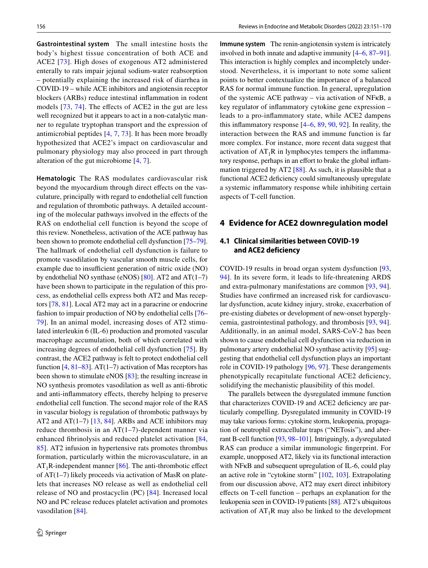**Gastrointestinal system** The small intestine hosts the body's highest tissue concentration of both ACE and ACE2 [\[73\]](#page-15-7). High doses of exogenous AT2 administered enterally to rats impair jejunal sodium-water reabsorption – potentially explaining the increased risk of diarrhea in COVID-19 – while ACE inhibitors and angiotensin receptor blockers (ARBs) reduce intestinal infammation in rodent models  $[73, 74]$  $[73, 74]$  $[73, 74]$  $[73, 74]$  $[73, 74]$ . The effects of ACE2 in the gut are less well recognized but it appears to act in a non-catalytic manner to regulate tryptophan transport and the expression of antimicrobial peptides [\[4](#page-13-1), [7,](#page-13-22) [73](#page-15-7)]. It has been more broadly hypothesized that ACE2's impact on cardiovascular and pulmonary physiology may also proceed in part through alteration of the gut microbiome [[4](#page-13-1), [7](#page-13-22)].

**Hematologic** The RAS modulates cardiovascular risk beyond the myocardium through direct effects on the vasculature, principally with regard to endothelial cell function and regulation of thrombotic pathways. A detailed accounting of the molecular pathways involved in the efects of the RAS on endothelial cell function is beyond the scope of this review. Nonetheless, activation of the ACE pathway has been shown to promote endothelial cell dysfunction [[75](#page-15-9)[–79](#page-15-10)]. The hallmark of endothelial cell dysfunction is failure to promote vasodilation by vascular smooth muscle cells, for example due to insufficient generation of nitric oxide (NO) by endothelial NO synthase (eNOS)  $[80]$  $[80]$ . AT2 and AT(1–7) have been shown to participate in the regulation of this process, as endothelial cells express both AT2 and Mas receptors [[78,](#page-15-12) [81](#page-15-13)]. Local AT2 may act in a paracrine or endocrine fashion to impair production of NO by endothelial cells [\[76](#page-15-14)– [79](#page-15-10)]. In an animal model, increasing doses of AT2 stimulated interleukin 6 (IL-6) production and promoted vascular macrophage accumulation, both of which correlated with increasing degrees of endothelial cell dysfunction [[75\]](#page-15-9). By contrast, the ACE2 pathway is felt to protect endothelial cell function [\[4](#page-13-1), [81–](#page-15-13)[83](#page-15-15)]. AT(1–7) activation of Mas receptors has been shown to stimulate eNOS [[83\]](#page-15-15); the resulting increase in NO synthesis promotes vasodilation as well as anti-fbrotic and anti-inflammatory effects, thereby helping to preserve endothelial cell function. The second major role of the RAS in vascular biology is regulation of thrombotic pathways by AT2 and AT(1–7) [[13,](#page-13-7) [84\]](#page-15-16). ARBs and ACE inhibitors may reduce thrombosis in an AT(1–7)-dependent manner via enhanced fbrinolysis and reduced platelet activation [\[84,](#page-15-16) [85](#page-15-17)]. AT2 infusion in hypertensive rats promotes thrombus formation, particularly within the microvasculature, in an  $AT_1R$ -independent manner [[86](#page-15-18)]. The anti-thrombotic effect of AT(1–7) likely proceeds via activation of MasR on platelets that increases NO release as well as endothelial cell release of NO and prostacyclin (PC) [[84\]](#page-15-16). Increased local NO and PC release reduces platelet activation and promotes vasodilation [\[84](#page-15-16)].

**Immune system** The renin-angiotensin system is intricately involved in both innate and adaptive immunity [\[4](#page-13-1)[–6](#page-13-3), [87–](#page-15-19)[91](#page-15-20)]. This interaction is highly complex and incompletely understood. Nevertheless, it is important to note some salient points to better contextualize the importance of a balanced RAS for normal immune function. In general, upregulation of the systemic ACE pathway – via activation of NFκB, a key regulator of infammatory cytokine gene expression – leads to a pro-infammatory state, while ACE2 dampens this infammatory response [[4–](#page-13-1)[6,](#page-13-3) [89,](#page-15-21) [90](#page-15-22), [92](#page-15-23)]. In reality, the interaction between the RAS and immune function is far more complex. For instance, more recent data suggest that activation of  $AT_1R$  in lymphocytes tempers the inflammatory response, perhaps in an effort to brake the global inflammation triggered by AT2 [\[88](#page-15-24)]. As such, it is plausible that a functional ACE2 deficiency could simultaneously upregulate a systemic infammatory response while inhibiting certain aspects of T-cell function.

### **4 Evidence for ACE2 downregulation model**

### **4.1 Clinical similarities between COVID‑19 and ACE2 deficiency**

COVID-19 results in broad organ system dysfunction [[93,](#page-15-25) [94](#page-15-26)]. In its severe form, it leads to life-threatening ARDS and extra-pulmonary manifestations are common [[93,](#page-15-25) [94](#page-15-26)]. Studies have confrmed an increased risk for cardiovascular dysfunction, acute kidney injury, stroke, exacerbation of pre-existing diabetes or development of new-onset hyperglycemia, gastrointestinal pathology, and thrombosis [[93](#page-15-25), [94](#page-15-26)]. Additionally, in an animal model, SARS-CoV-2 has been shown to cause endothelial cell dysfunction via reduction in pulmonary artery endothelial NO synthase activity [[95\]](#page-16-0) suggesting that endothelial cell dysfunction plays an important role in COVID-19 pathology [\[96](#page-16-1), [97](#page-16-2)]. These derangements phenotypically recapitulate functional ACE2 defciency, solidifying the mechanistic plausibility of this model.

The parallels between the dysregulated immune function that characterizes COVID-19 and ACE2 deficiency are particularly compelling. Dysregulated immunity in COVID-19 may take various forms: cytokine storm, leukopenia, propagation of neutrophil extracellular traps ("NETosis"), and aberrant B-cell function [[93,](#page-15-25) [98–](#page-16-3)[101](#page-16-4)]. Intriguingly, a dysregulated RAS can produce a similar immunologic fngerprint. For example, unopposed AT2, likely via its functional interaction with NFκB and subsequent upregulation of IL-6, could play an active role in "cytokine storm" [\[102,](#page-16-5) [103\]](#page-16-6). Extrapolating from our discussion above, AT2 may exert direct inhibitory efects on T-cell function – perhaps an explanation for the leukopenia seen in COVID-19 patients [\[88](#page-15-24)]. AT2's ubiquitous activation of  $AT_1R$  may also be linked to the development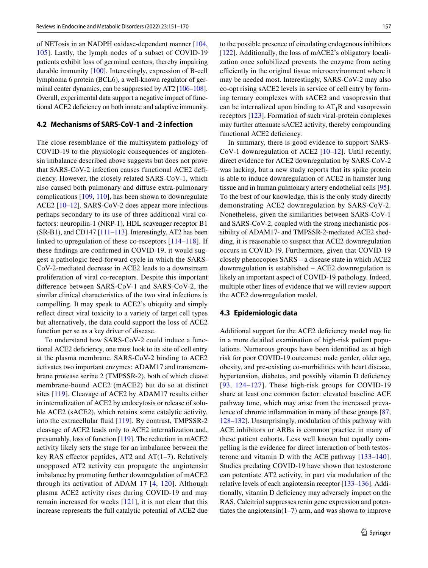of NETosis in an NADPH oxidase-dependent manner [[104,](#page-16-7) [105\]](#page-16-8). Lastly, the lymph nodes of a subset of COVID-19 patients exhibit loss of germinal centers, thereby impairing durable immunity [\[100](#page-16-9)]. Interestingly, expression of B-cell lymphoma 6 protein (BCL6), a well-known regulator of germinal center dynamics, can be suppressed by AT2 [\[106–](#page-16-10)[108](#page-16-11)]. Overall, experimental data support a negative impact of functional ACE2 defciency on both innate and adaptive immunity.

#### **4.2 Mechanisms of SARS‑CoV‑1 and ‑2 infection**

The close resemblance of the multisystem pathology of COVID-19 to the physiologic consequences of angiotensin imbalance described above suggests but does not prove that SARS-CoV-2 infection causes functional ACE2 defciency. However, the closely related SARS-CoV-1, which also caused both pulmonary and difuse extra-pulmonary complications [[109,](#page-16-12) [110](#page-16-13)], has been shown to downregulate ACE2 [\[10](#page-13-5)[–12\]](#page-13-6). SARS-CoV-2 does appear more infectious perhaps secondary to its use of three additional viral cofactors: neuropilin-1 (NRP-1), HDL scavenger receptor B1 (SR-B1), and CD147 [\[111](#page-16-14)[–113\]](#page-16-15). Interestingly, AT2 has been linked to upregulation of these co-receptors [[114–](#page-16-16)[118](#page-16-17)]. If these fndings are confrmed in COVID-19, it would suggest a pathologic feed-forward cycle in which the SARS-CoV-2-mediated decrease in ACE2 leads to a downstream proliferation of viral co-receptors. Despite this important diference between SARS-CoV-1 and SARS-CoV-2, the similar clinical characteristics of the two viral infections is compelling. It may speak to ACE2's ubiquity and simply refect direct viral toxicity to a variety of target cell types but alternatively, the data could support the loss of ACE2 function per se as a key driver of disease.

To understand how SARS-CoV-2 could induce a functional ACE2 defciency, one must look to its site of cell entry at the plasma membrane. SARS-CoV-2 binding to ACE2 activates two important enzymes: ADAM17 and transmembrane protease serine 2 (TMPSSR-2), both of which cleave membrane-bound ACE2 (mACE2) but do so at distinct sites [[119\]](#page-16-18). Cleavage of ACE2 by ADAM17 results either in internalization of ACE2 by endocytosis or release of soluble ACE2 (sACE2), which retains some catalytic activity, into the extracellular fuid [[119](#page-16-18)]. By contrast, TMPSSR-2 cleavage of ACE2 leads only to ACE2 internalization and, presumably, loss of function [\[119\]](#page-16-18). The reduction in mACE2 activity likely sets the stage for an imbalance between the key RAS effector peptides, AT2 and  $AT(1-7)$ . Relatively unopposed AT2 activity can propagate the angiotensin imbalance by promoting further downregulation of mACE2 through its activation of ADAM 17 [[4](#page-13-1), [120](#page-16-19)]. Although plasma ACE2 activity rises during COVID-19 and may remain increased for weeks [[121\]](#page-16-20), it is not clear that this increase represents the full catalytic potential of ACE2 due to the possible presence of circulating endogenous inhibitors [[122\]](#page-16-21). Additionally, the loss of mACE2's obligatory localization once solubilized prevents the enzyme from acting efficiently in the original tissue microenvironment where it may be needed most. Interestingly, SARS-CoV-2 may also co-opt rising sACE2 levels in service of cell entry by forming ternary complexes with sACE2 and vasopressin that can be internalized upon binding to  $AT_1R$  and vasopressin receptors [[123](#page-16-22)]. Formation of such viral-protein complexes may further attenuate sACE2 activity, thereby compounding functional ACE2 deficiency.

In summary, there is good evidence to support SARS-CoV-1 downregulation of ACE2 [[10](#page-13-5)–[12](#page-13-6)]. Until recently, direct evidence for ACE2 downregulation by SARS-CoV-2 was lacking, but a new study reports that its spike protein is able to induce downregulation of ACE2 in hamster lung tissue and in human pulmonary artery endothelial cells [\[95](#page-16-0)]. To the best of our knowledge, this is the only study directly demonstrating ACE2 downregulation by SARS-CoV-2. Nonetheless, given the similarities between SARS-CoV-1 and SARS-CoV-2, coupled with the strong mechanistic possibility of ADAM17- and TMPSSR-2-mediated ACE2 shedding, it is reasonable to suspect that ACE2 downregulation occurs in COVID-19. Furthermore, given that COVID-19 closely phenocopies SARS – a disease state in which ACE2 downregulation is established – ACE2 downregulation is likely an important aspect of COVID-19 pathology. Indeed, multiple other lines of evidence that we will review support the ACE2 downregulation model.

#### **4.3 Epidemiologic data**

Additional support for the ACE2 deficiency model may lie in a more detailed examination of high-risk patient populations. Numerous groups have been identifed as at high risk for poor COVID-19 outcomes: male gender, older age, obesity, and pre-existing co-morbidities with heart disease, hypertension, diabetes, and possibly vitamin D deficiency [[93](#page-15-25), [124](#page-16-23)–[127\]](#page-17-0). These high-risk groups for COVID-19 share at least one common factor: elevated baseline ACE pathway tone, which may arise from the increased prevalence of chronic infammation in many of these groups [[87,](#page-15-19) [128](#page-17-1)[–132](#page-17-2)]. Unsurprisingly, modulation of this pathway with ACE inhibitors or ARBs is common practice in many of these patient cohorts. Less well known but equally compelling is the evidence for direct interaction of both testosterone and vitamin D with the ACE pathway [[133–](#page-17-3)[140](#page-17-4)]. Studies predating COVID-19 have shown that testosterone can potentiate AT2 activity, in part via modulation of the relative levels of each angiotensin receptor [[133–](#page-17-3)[136](#page-17-5)]. Additionally, vitamin D defciency may adversely impact on the RAS. Calcitriol suppresses renin gene expression and potentiates the angiotensin(1–7) arm, and was shown to improve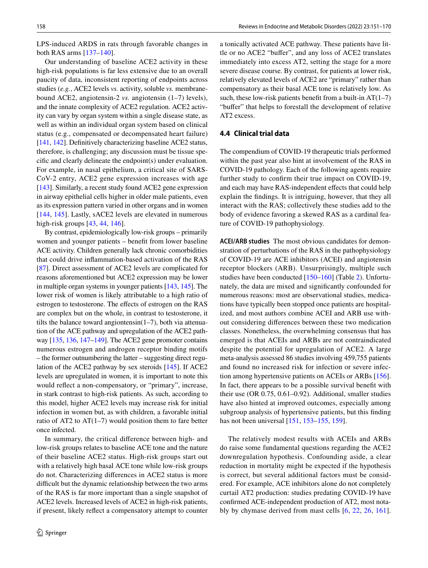LPS-induced ARDS in rats through favorable changes in both RAS arms [\[137](#page-17-6)[–140](#page-17-4)].

Our understanding of baseline ACE2 activity in these high-risk populations is far less extensive due to an overall paucity of data, inconsistent reporting of endpoints across studies (*e.g.*, ACE2 levels *vs.* activity, soluble *vs.* membranebound ACE2, angiotensin-2 *vs.* angiotensin (1–7) levels), and the innate complexity of ACE2 regulation. ACE2 activity can vary by organ system within a single disease state, as well as within an individual organ system based on clinical status (e.g., compensated or decompensated heart failure) [\[141](#page-17-7), [142\]](#page-17-8). Definitively characterizing baseline ACE2 status, therefore, is challenging; any discussion must be tissue specifc and clearly delineate the endpoint(s) under evaluation. For example, in nasal epithelium, a critical site of SARS-CoV-2 entry, ACE2 gene expression increases with age [\[143](#page-17-9)]. Similarly, a recent study found ACE2 gene expression in airway epithelial cells higher in older male patients, even as its expression pattern varied in other organs and in women [\[144,](#page-17-10) [145](#page-17-11)]. Lastly, sACE2 levels are elevated in numerous high-risk groups [[43,](#page-14-11) [44,](#page-14-12) [146\]](#page-17-12).

By contrast, epidemiologically low-risk groups – primarily women and younger patients – beneft from lower baseline ACE activity. Children generally lack chronic comorbidities that could drive infammation-based activation of the RAS [\[87](#page-15-19)]. Direct assessment of ACE2 levels are complicated for reasons aforementioned but ACE2 expression may be lower in multiple organ systems in younger patients [[143,](#page-17-9) [145\]](#page-17-11). The lower risk of women is likely attributable to a high ratio of estrogen to testosterone. The effects of estrogen on the RAS are complex but on the whole, in contrast to testosterone, it tilts the balance toward angiontensin( $1-7$ ), both via attenuation of the ACE pathway and upregulation of the ACE2 pathway [\[135](#page-17-13), [136](#page-17-5), [147–](#page-17-14)[149\]](#page-17-15). The ACE2 gene promoter contains numerous estrogen and androgen receptor binding motifs – the former outnumbering the latter – suggesting direct regulation of the ACE2 pathway by sex steroids [\[145](#page-17-11)]. If ACE2 levels are upregulated in women, it is important to note this would refect a non-compensatory, or "primary", increase, in stark contrast to high-risk patients. As such, according to this model, higher ACE2 levels may increase risk for initial infection in women but, as with children, a favorable initial ratio of AT2 to AT $(1-7)$  would position them to fare better once infected.

In summary, the critical diference between high- and low-risk groups relates to baseline ACE tone and the nature of their baseline ACE2 status. High-risk groups start out with a relatively high basal ACE tone while low-risk groups do not. Characterizing diferences in ACE2 status is more difficult but the dynamic relationship between the two arms of the RAS is far more important than a single snapshot of ACE2 levels. Increased levels of ACE2 in high-risk patients, if present, likely refect a compensatory attempt to counter a tonically activated ACE pathway. These patients have little or no ACE2 "bufer", and any loss of ACE2 translates immediately into excess AT2, setting the stage for a more severe disease course. By contrast, for patients at lower risk, relatively elevated levels of ACE2 are "primary" rather than compensatory as their basal ACE tone is relatively low. As such, these low-risk patients benefit from a built-in  $AT(1-7)$ "buffer" that helps to forestall the development of relative AT2 excess.

#### **4.4 Clinical trial data**

The compendium of COVID-19 therapeutic trials performed within the past year also hint at involvement of the RAS in COVID-19 pathology. Each of the following agents require further study to confrm their true impact on COVID-19, and each may have RAS-independent effects that could help explain the fndings. It is intriguing, however, that they all interact with the RAS; collectively these studies add to the body of evidence favoring a skewed RAS as a cardinal feature of COVID-19 pathophysiology.

**ACEI/ARB studies** The most obvious candidates for demonstration of perturbations of the RAS in the pathophysiology of COVID-19 are ACE inhibitors (ACEI) and angiotensin receptor blockers (ARB). Unsurprisingly, multiple such studies have been conducted [\[150](#page-17-16)[–160\]](#page-18-0) (Table [2\)](#page-8-0). Unfortunately, the data are mixed and signifcantly confounded for numerous reasons: most are observational studies, medications have typically been stopped once patients are hospitalized, and most authors combine ACEI and ARB use without considering diferences between these two medication classes. Nonetheless, the overwhelming consensus that has emerged is that ACEIs and ARBs are not contraindicated despite the potential for upregulation of ACE2. A large meta-analysis assessed 86 studies involving 459,755 patients and found no increased risk for infection or severe infection among hypertensive patients on ACEIs or ARBs [\[156](#page-17-17)]. In fact, there appears to be a possible survival beneft with their use (OR 0.75, 0.61–0.92). Additional, smaller studies have also hinted at improved outcomes, especially among subgroup analysis of hypertensive patients, but this fnding has not been universal [[151,](#page-17-18) [153–](#page-17-19)[155,](#page-17-20) [159](#page-18-1)].

The relatively modest results with ACEIs and ARBs do raise some fundamental questions regarding the ACE2 downregulation hypothesis. Confounding aside, a clear reduction in mortality might be expected if the hypothesis is correct, but several additional factors must be considered. For example, ACE inhibitors alone do not completely curtail AT2 production: studies predating COVID-19 have confrmed ACE-independent production of AT2, most notably by chymase derived from mast cells [[6,](#page-13-3) [22,](#page-13-13) [26](#page-13-17), [161](#page-18-2)].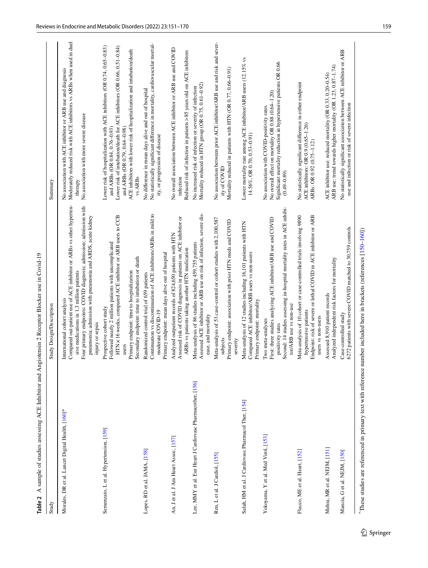| Study                                                                                                               | Study Design/Description                                                                                                                                                                                                                                                                                  | Summary                                                                                                                                                                                                                                                                                                 |
|---------------------------------------------------------------------------------------------------------------------|-----------------------------------------------------------------------------------------------------------------------------------------------------------------------------------------------------------------------------------------------------------------------------------------------------------|---------------------------------------------------------------------------------------------------------------------------------------------------------------------------------------------------------------------------------------------------------------------------------------------------------|
| Morales, DR et al. Lancet Digital Health, [160]*                                                                    | Compared out-patient use of ACE inhibitor or ARBs vs other hyperten-<br>Four primary endpoints: COVID diagnosis; admission; admission with<br>pneumonia; admission with pneumonia and ARDS, acute kidney<br>sive medications in 1.3 million patients<br>International cohort analysis<br>injury or sepsis | Moderately reduced risk with ACE inhibitors vs ARBs when used in duel<br>No association with ACE inhibitor or ARB use and diagnosis<br>No association with more severe disease<br>therapy                                                                                                               |
| Semenzato, L et al. Hypertension, [159]                                                                             | HTN x 16 weeks, compared ACE inhibitor or ARB users to CCB<br>Followed nearly 2 million patients with uncomplicated<br>Secondary endpoint: time to intubation or death<br>Primary endpoint: time to hospitalization<br>Prospective cohort study<br>users                                                  | Lower risk of hospitalization with ACE inhibitors (OR 0.74, 0.65-0.83)<br>Lower risk of intubation/death for ACE inhibitors (OR 0.66, 0.51-0.84)<br>ACE inhibitors with lower risk of hospitalization and intubation/death<br>and ARBs (OR 0.79, 0.64-0.98)<br>and ARBs (OR 0.84, 0.76-0.93)<br>vs ARBs |
| Lopes, RD et al. JAMA, [158]                                                                                        | Continuation vs discontinuation of ACE inhibitors/ARBs in mild to<br>Primary endpoint: mean days alive out of hospital<br>Randomized control trial of 659 patients<br>moderate COVID-19                                                                                                                   | No statistically significant difference in mortality, cardiovascular mortal-<br>No difference in mean days alive and out of hospital<br>ity, or progression of disease                                                                                                                                  |
| An, J et al. J Am Heart Assoc, [157]                                                                                | Assessed risk of COVID diagnosis in patients on ACE inhibitor or<br>Analyzed outpatient records of 824,650 patients with HTN<br>ARBs vs patients taking another HTN medication                                                                                                                            | No overall association between ACE inhibitor or ARB use and COVID<br>Reduced risk of infection in patients > 85 years old on ACE inhibitors<br>infection                                                                                                                                                |
| Lee, MMY et al. Eur Heart J Cardiovasc Pharmacother, [156]                                                          | Assessed ACE inhibitor or ARB use on risk of infection, severe dis-<br>Meta-analysis of 86 studies including 459,755 patients<br>ease, and mortality                                                                                                                                                      | Mortality reduced in HTN group (OR 0.75, 0.61-0.92)<br>No increased risk of infection or severity of infection                                                                                                                                                                                          |
| Ren, L et al. J Cardiol, [155]                                                                                      | Meta-analysis of 53 case-control or cohort studies with 2,100,587<br>Primary endpoint: association with prior HTN meds and COVID<br>subjects<br>severity                                                                                                                                                  | No association between prior ACE inhibitor/ARB use and risk and sever-<br>Mortality reduced in patients with HTN (OR 0.77, 0.66-0.91)<br>ity of COVID                                                                                                                                                   |
| Salah, HM et al. J Cardiovasc Pharmacol Ther, [154]                                                                 | Meta-analysis of 12 studies including 16,101 patients with HTN<br>Compared ACE inhibitor/ARB users vs non-users<br>Primary endpoint: mortality                                                                                                                                                            | Lower mortality rate among ACE inhibitor/ARB users (12.15% vs<br>14.56%, OR 0.70, 0.53-0.91)                                                                                                                                                                                                            |
| Yokoyama, Y et al. Med Virol, [153]                                                                                 | Second: 14 studies assessing in-hospital mortality rates in ACE inhibi-<br>First: three studies analyzing ACE inhibitor/ARB use and COVID<br>tor/ARB use vs non-use<br>Two meta-analyses<br>positivity rates                                                                                              | Significant mortality reduction in hypertensive patients OR 0.66<br>No overall effect on mortality OR 0.88 (0.64-1.20)<br>No association with COVID-positivity rates<br>$(0.49 - 0.89)$                                                                                                                 |
| Flacco, ME et al. Heart, [152]                                                                                      | Endpoint: risk of severe or lethal COVID in ACE inhibitor or ARB<br>Meta-analysis of 10 cohort or case-controlled trials involving 9890<br>hypertensive patients<br>users vs non-users                                                                                                                    | No statistically significant difference in either endpoint<br>ACE inhibitors: OR 0.9 (0.65-1.26)<br>ARBs: OR 0.92 (0.75-1.12)                                                                                                                                                                           |
| Mehra, MR et al. NEJM, [151]                                                                                        | Analyzed independent risk factors for mortality<br>Assessed 8,910 patient records                                                                                                                                                                                                                         | ARB use: trend towards higher mortality (OR 1.23, 0.87-1.74)<br>ACE inhibitor use: reduced mortality (OR 0.33, 0.20-0.54)                                                                                                                                                                               |
| Mancia, G et al. NEJM, [150]                                                                                        | 6272 patients with severe COVID matched to 30,759 controls<br>Case-controlled study                                                                                                                                                                                                                       | No statistically significant association between ACE inhibitor or ARB<br>use and infection or risk of severe infection                                                                                                                                                                                  |
| These studies are referenced in primary text with reference number included here in brackets (references [150-160]) |                                                                                                                                                                                                                                                                                                           |                                                                                                                                                                                                                                                                                                         |

<span id="page-8-0"></span>

| ĺ                      |
|------------------------|
|                        |
| ļ                      |
|                        |
|                        |
|                        |
|                        |
|                        |
| ı<br>I                 |
|                        |
| l                      |
|                        |
| ļ                      |
| I                      |
|                        |
|                        |
|                        |
| $\vdots$               |
|                        |
|                        |
| ちきじゅくせん きょうこく てきく き    |
|                        |
|                        |
|                        |
| 11 - 11 - 11 - 12<br>l |
| ı                      |
| ı                      |
|                        |
|                        |
|                        |
|                        |
|                        |
|                        |
|                        |
|                        |
|                        |
| <br> <br>              |
| $\frac{1}{2}$          |
| $\epsilon$             |
| able <sub>4</sub>      |
|                        |
| I                      |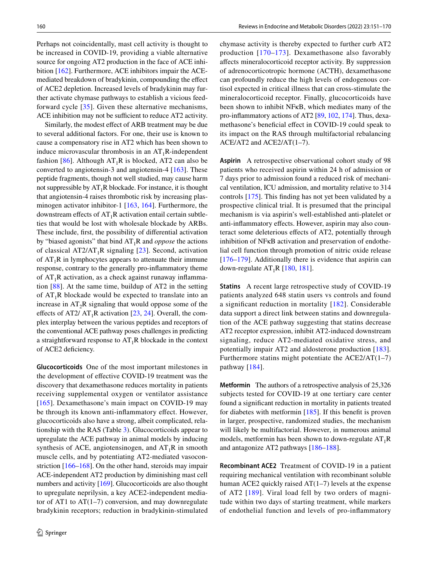Perhaps not coincidentally, mast cell activity is thought to be increased in COVID-19, providing a viable alternative source for ongoing AT2 production in the face of ACE inhibition [\[162](#page-18-4)]. Furthermore, ACE inhibitors impair the ACEmediated breakdown of bradykinin, compounding the efect of ACE2 depletion. Increased levels of bradykinin may further activate chymase pathways to establish a vicious feedforward cycle [\[35\]](#page-14-3). Given these alternative mechanisms, ACE inhibition may not be sufficient to reduce AT2 activity.

Similarly, the modest efect of ARB treatment may be due to several additional factors. For one, their use is known to cause a compensatory rise in AT2 which has been shown to induce microvascular thrombosis in an  $AT_1R$ -independent fashion [\[86\]](#page-15-18). Although  $AT_1R$  is blocked, AT2 can also be converted to angiotensin-3 and angiotensin-4 [[163](#page-18-5)]. These peptide fragments, though not well studied, may cause harm not suppressible by  $AT_1R$  blockade. For instance, it is thought that angiotensin-4 raises thrombotic risk by increasing plas-minogen activator inhibitor-1 [\[163](#page-18-5), [164\]](#page-18-6). Furthermore, the downstream effects of  $AT_1R$  activation entail certain subtleties that would be lost with wholesale blockade by ARBs. These include, frst, the possibility of diferential activation by "biased agonists" that bind AT1R and *oppose* the actions of classical  $AT2/AT_1R$  signaling [\[23](#page-13-14)]. Second, activation of  $AT_1R$  in lymphocytes appears to attenuate their immune response, contrary to the generally pro-infammatory theme of  $AT_1R$  activation, as a check against runaway inflammation [\[88\]](#page-15-24). At the same time, buildup of AT2 in the setting of  $AT_1R$  blockade would be expected to translate into an increase in  $AT_2R$  signaling that would oppose some of the effects of AT2/  $AT_1R$  activation [[23,](#page-13-14) [24](#page-13-15)]. Overall, the complex interplay between the various peptides and receptors of the conventional ACE pathway poses challenges in predicting a straightforward response to  $AT_1R$  blockade in the context of ACE2 defciency.

**Glucocorticoids** One of the most important milestones in the development of efective COVID-19 treatment was the discovery that dexamethasone reduces mortality in patients receiving supplemental oxygen or ventilator assistance [[165\]](#page-18-7). Dexamethasone's main impact on COVID-19 may be through its known anti-infammatory efect. However, glucocorticoids also have a strong, albeit complicated, relationship with the RAS (Table [3\)](#page-10-0). Glucocorticoids appear to upregulate the ACE pathway in animal models by inducing synthesis of ACE, angiotensinogen, and  $AT_1R$  in smooth muscle cells, and by potentiating AT2-mediated vasoconstriction [[166–](#page-18-8)[168](#page-18-9)]. On the other hand, steroids may impair ACE-independent AT2 production by diminishing mast cell numbers and activity [[169](#page-18-10)]. Glucocorticoids are also thought to upregulate neprilysin, a key ACE2-independent mediator of AT1 to  $AT(1-7)$  conversion, and may downregulate bradykinin receptors; reduction in bradykinin-stimulated chymase activity is thereby expected to further curb AT2 production [[170](#page-18-11)–[173\]](#page-18-12). Dexamethasone also favorably afects mineralocorticoid receptor activity. By suppression of adrenocorticotropic hormone (ACTH), dexamethasone can profoundly reduce the high levels of endogenous cortisol expected in critical illness that can cross-stimulate the mineralocorticoid receptor. Finally, glucocorticoids have been shown to inhibit NFκB, which mediates many of the pro-infammatory actions of AT2 [[89](#page-15-21), [102,](#page-16-5) [174](#page-18-13)]. Thus, dexamethasone's beneficial effect in COVID-19 could speak to its impact on the RAS through multifactorial rebalancing ACE/AT2 and ACE2/AT(1–7).

**Aspirin** A retrospective observational cohort study of 98 patients who received aspirin within 24 h of admission or 7 days prior to admission found a reduced risk of mechanical ventilation, ICU admission, and mortality relative to 314 controls [[175\]](#page-18-14). This fnding has not yet been validated by a prospective clinical trial. It is presumed that the principal mechanism is via aspirin's well-established anti-platelet or anti-inflammatory effects. However, aspirin may also counteract some deleterious efects of AT2, potentially through inhibition of NFκB activation and preservation of endothelial cell function through promotion of nitric oxide release [[176–](#page-18-15)[179](#page-18-16)]. Additionally there is evidence that aspirin can down-regulate  $AT_1R$  [[180,](#page-18-17) [181\]](#page-18-18).

**Statins** A recent large retrospective study of COVID-19 patients analyzed 648 statin users vs controls and found a signifcant reduction in mortality [[182\]](#page-18-19). Considerable data support a direct link between statins and downregulation of the ACE pathway suggesting that statins decrease AT2 receptor expression, inhibit AT2-induced downstream signaling, reduce AT2-mediated oxidative stress, and potentially impair AT2 and aldosterone production [[183](#page-18-20)]. Furthermore statins might potentiate the ACE2/AT(1–7) pathway [[184](#page-18-21)].

**Metformin** The authors of a retrospective analysis of 25,326 subjects tested for COVID-19 at one tertiary care center found a signifcant reduction in mortality in patients treated for diabetes with metformin [[185\]](#page-18-22). If this beneft is proven in larger, prospective, randomized studies, the mechanism will likely be multifactorial. However, in numerous animal models, metformin has been shown to down-regulate  $AT_1R$ and antagonize AT2 pathways [\[186](#page-18-23)[–188\]](#page-19-0).

**Recombinant ACE2** Treatment of COVID-19 in a patient requiring mechanical ventilation with recombinant soluble human ACE2 quickly raised AT(1–7) levels at the expense of AT2 [[189](#page-19-1)]. Viral load fell by two orders of magnitude within two days of starting treatment, while markers of endothelial function and levels of pro-infammatory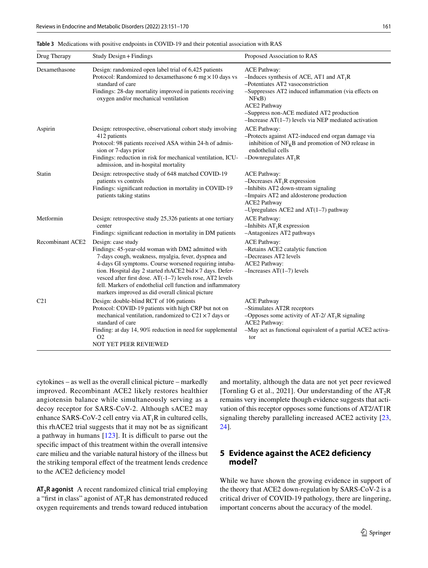<span id="page-10-0"></span>**Table 3** Medications with positive endpoints in COVID-19 and their potential association with RAS

| Drug Therapy     | Study Design + Findings                                                                                                                                                                                                                                                                                                                                                                                                              | Proposed Association to RAS                                                                                                                                                                                                                                                                               |
|------------------|--------------------------------------------------------------------------------------------------------------------------------------------------------------------------------------------------------------------------------------------------------------------------------------------------------------------------------------------------------------------------------------------------------------------------------------|-----------------------------------------------------------------------------------------------------------------------------------------------------------------------------------------------------------------------------------------------------------------------------------------------------------|
| Dexamethasone    | Design: randomized open label trial of 6,425 patients<br>Protocol: Randomized to dexamethasone 6 mg $\times$ 10 days vs<br>standard of care<br>Findings: 28-day mortality improved in patients receiving<br>oxygen and/or mechanical ventilation                                                                                                                                                                                     | <b>ACE Pathway:</b><br>-Induces synthesis of ACE, AT1 and $AT_1R$<br>-Potentiates AT2 vasoconstriction<br>-Suppresses AT2 induced inflammation (via effects on<br>NFRB)<br><b>ACE2 Pathway</b><br>-Suppress non-ACE mediated AT2 production<br>$-$ Increase AT $(1-7)$ levels via NEP mediated activation |
| Aspirin          | Design: retrospective, observational cohort study involving<br>412 patients<br>Protocol: 98 patients received ASA within 24-h of admis-<br>sion or 7-days prior<br>Findings: reduction in risk for mechanical ventilation, ICU-<br>admission, and in-hospital mortality                                                                                                                                                              | <b>ACE Pathway:</b><br>-Protects against AT2-induced end organ damage via<br>inhibition of $NF_KB$ and promotion of NO release in<br>endothelial cells<br>-Downregulates $AT_1R$                                                                                                                          |
| Statin           | Design: retrospective study of 648 matched COVID-19<br>patients vs controls<br>Findings: significant reduction in mortality in COVID-19<br>patients taking statins                                                                                                                                                                                                                                                                   | <b>ACE Pathway:</b><br>$-D$ ecreases AT <sub>1</sub> R expression<br>-Inhibits AT2 down-stream signaling<br>-Impairs AT2 and aldosterone production<br><b>ACE2 Pathway</b><br>$-U$ pregulates ACE2 and AT $(1-7)$ pathway                                                                                 |
| Metformin        | Design: retrospective study 25,326 patients at one tertiary<br>center<br>Findings: significant reduction in mortality in DM patients                                                                                                                                                                                                                                                                                                 | <b>ACE Pathway:</b><br>-Inhibits $AT_1R$ expression<br>-Antagonizes AT2 pathways                                                                                                                                                                                                                          |
| Recombinant ACE2 | Design: case study<br>Findings: 45-year-old woman with DM2 admitted with<br>7-days cough, weakness, myalgia, fever, dyspnea and<br>4-days GI symptoms. Course worsened requiring intuba-<br>tion. Hospital day 2 started rhACE2 bid × 7 days. Defer-<br>vesced after first dose. AT(-1-7) levels rose, AT2 levels<br>fell. Markers of endothelial cell function and inflammatory<br>markers improved as did overall clinical picture | <b>ACE Pathway:</b><br>-Retains ACE2 catalytic function<br>-Decreases AT2 levels<br><b>ACE2 Pathway:</b><br>$-$ Increases AT $(1-7)$ levels                                                                                                                                                               |
| C <sub>21</sub>  | Design: double-blind RCT of 106 patients<br>Protocol: COVID-19 patients with high CRP but not on<br>mechanical ventilation, randomized to $C21 \times 7$ days or<br>standard of care<br>Finding: at day 14, 90% reduction in need for supplemental<br>O <sub>2</sub><br>NOT YET PEER REVIEWED                                                                                                                                        | <b>ACE Pathway</b><br>-Stimulates AT2R receptors<br>-Opposes some activity of AT-2/ $AT_1R$ signaling<br><b>ACE2</b> Pathway:<br>-May act as functional equivalent of a partial ACE2 activa-<br>tor                                                                                                       |

cytokines – as well as the overall clinical picture – markedly improved. Recombinant ACE2 likely restores healthier angiotensin balance while simultaneously serving as a decoy receptor for SARS-CoV-2. Although sACE2 may enhance SARS-CoV-2 cell entry via  $AT_1R$  in cultured cells, this rhACE2 trial suggests that it may not be as signifcant a pathway in humans  $[123]$  $[123]$ . It is difficult to parse out the specifc impact of this treatment within the overall intensive care milieu and the variable natural history of the illness but the striking temporal efect of the treatment lends credence to the ACE2 deficiency model

AT<sub>2</sub>R agonist A recent randomized clinical trial employing a "first in class" agonist of  $AT_2R$  has demonstrated reduced oxygen requirements and trends toward reduced intubation and mortality, although the data are not yet peer reviewed [Tornling G et al., 2021]. Our understanding of the  $AT_2R$ remains very incomplete though evidence suggests that activation of this receptor opposes some functions of AT2/AT1R signaling thereby paralleling increased ACE2 activity [[23,](#page-13-14) [24](#page-13-15)].

# **5 Evidence against the ACE2 deficiency model?**

While we have shown the growing evidence in support of the theory that ACE2 down-regulation by SARS-CoV-2 is a critical driver of COVID-19 pathology, there are lingering, important concerns about the accuracy of the model.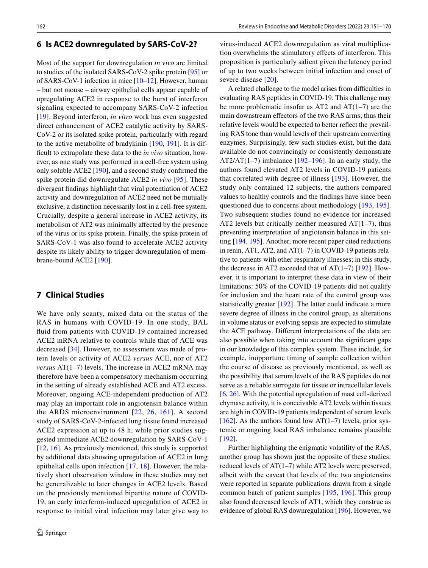#### **6 Is ACE2 downregulated by SARS‑CoV‑2?**

Most of the support for downregulation *in vivo* are limited to studies of the isolated SARS-CoV-2 spike protein [[95](#page-16-0)] or of SARS-CoV-1 infection in mice [\[10](#page-13-5)[–12](#page-13-6)]. However, human – but not mouse – airway epithelial cells appear capable of upregulating ACE2 in response to the burst of interferon signaling expected to accompany SARS-CoV-2 infection [\[19\]](#page-13-10). Beyond interferon, *in vitro* work has even suggested direct enhancement of ACE2 catalytic activity by SARS-CoV-2 or its isolated spike protein, particularly with regard to the active metabolite of bradykinin [\[190](#page-19-2), [191](#page-19-3)]. It is diffcult to extrapolate these data to the *in vivo* situation, however, as one study was performed in a cell-free system using only soluble ACE2 [[190\]](#page-19-2), and a second study confrmed the spike protein did downregulate ACE2 *in vivo* [\[95\]](#page-16-0). These divergent fndings highlight that viral potentiation of ACE2 activity and downregulation of ACE2 need not be mutually exclusive, a distinction necessarily lost in a cell-free system. Crucially, despite a general increase in ACE2 activity, its metabolism of AT2 was minimally afected by the presence of the virus or its spike protein. Finally, the spike protein of SARS-CoV-1 was also found to accelerate ACE2 activity despite its likely ability to trigger downregulation of membrane-bound ACE2 [\[190](#page-19-2)].

# **7 Clinical Studies**

We have only scanty, mixed data on the status of the RAS in humans with COVID-19. In one study, BAL fuid from patients with COVID-19 contained increased ACE2 mRNA relative to controls while that of ACE was decreased [\[34\]](#page-14-2). However, no assessment was made of protein levels or activity of ACE2 *versus* ACE, nor of AT2 *versus* AT(1–7) levels. The increase in ACE2 mRNA may therefore have been a compensatory mechanism occurring in the setting of already established ACE and AT2 excess. Moreover, ongoing ACE-independent production of AT2 may play an important role in angiotensin balance within the ARDS microenvironment [[22,](#page-13-13) [26](#page-13-17), [161\]](#page-18-2). A second study of SARS-CoV-2-infected lung tissue found increased ACE2 expression at up to 48 h, while prior studies suggested immediate ACE2 downregulation by SARS-CoV-1 [[12,](#page-13-6) [16](#page-13-9)]. As previously mentioned, this study is supported by additional data showing upregulation of ACE2 in lung epithelial cells upon infection [\[17,](#page-13-23) [18\]](#page-13-24). However, the relatively short observation window in these studies may not be generalizable to later changes in ACE2 levels. Based on the previously mentioned bipartite nature of COVID-19, an early interferon-induced upregulation of ACE2 in response to initial viral infection may later give way to virus-induced ACE2 downregulation as viral multiplication overwhelms the stimulatory efects of interferon. This proposition is particularly salient given the latency period of up to two weeks between initial infection and onset of severe disease [\[20\]](#page-13-11).

A related challenge to the model arises from difficulties in evaluating RAS peptides in COVID-19. This challenge may be more problematic insofar as AT2 and AT(1–7) are the main downstream efectors of the two RAS arms; thus their relative levels would be expected to better refect the prevailing RAS tone than would levels of their upstream converting enzymes. Surprisingly, few such studies exist, but the data available do not convincingly or consistently demonstrate AT2/AT(1–7) imbalance  $[192–196]$  $[192–196]$  $[192–196]$ . In an early study, the authors found elevated AT2 levels in COVID-19 patients that correlated with degree of illness [\[193\]](#page-19-6). However, the study only contained 12 subjects, the authors compared values to healthy controls and the fndings have since been questioned due to concerns about methodology [[193](#page-19-6), [195](#page-19-7)]. Two subsequent studies found no evidence for increased AT2 levels but critically neither measured  $AT(1-7)$ , thus preventing interpretation of angiotensin balance in this setting [\[194](#page-19-8), [195\]](#page-19-7). Another, more recent paper cited reductions in renin, AT1, AT2, and AT(1–7) in COVID-19 patients relative to patients with other respiratory illnesses; in this study, the decrease in AT2 exceeded that of AT $(1-7)$  [\[192](#page-19-4)]. However, it is important to interpret these data in view of their limitations: 50% of the COVID-19 patients did not qualify for inclusion and the heart rate of the control group was statistically greater [[192\]](#page-19-4). The latter could indicate a more severe degree of illness in the control group, as alterations in volume status or evolving sepsis are expected to stimulate the ACE pathway. Diferent interpretations of the data are also possible when taking into account the signifcant gaps in our knowledge of this complex system. These include, for example, inopportune timing of sample collection within the course of disease as previously mentioned, as well as the possibility that serum levels of the RAS peptides do not serve as a reliable surrogate for tissue or intracellular levels [\[6,](#page-13-3) [26](#page-13-17)]. With the potential upregulation of mast cell-derived chymase activity, it is conceivable AT2 levels within tissues are high in COVID-19 patients independent of serum levels [ $162$ ]. As the authors found low AT( $1-7$ ) levels, prior systemic or ongoing local RAS imbalance remains plausible [[192\]](#page-19-4).

Further highlighting the enigmatic volatility of the RAS, another group has shown just the opposite of these studies: reduced levels of AT(1–7) while AT2 levels were preserved, albeit with the caveat that levels of the two angiotensins were reported in separate publications drawn from a single common batch of patient samples [[195,](#page-19-7) [196\]](#page-19-5). This group also found decreased levels of AT1, which they construe as evidence of global RAS downregulation [[196\]](#page-19-5). However, we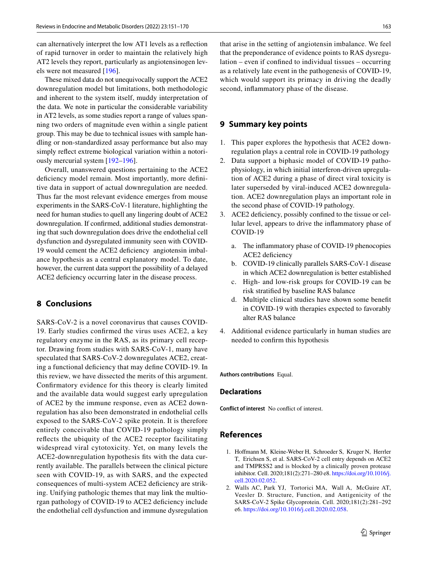can alternatively interpret the low AT1 levels as a refection of rapid turnover in order to maintain the relatively high AT2 levels they report, particularly as angiotensinogen levels were not measured [\[196](#page-19-5)].

These mixed data do not unequivocally support the ACE2 downregulation model but limitations, both methodologic and inherent to the system itself, muddy interpretation of the data. We note in particular the considerable variability in AT2 levels, as some studies report a range of values spanning two orders of magnitude even within a single patient group. This may be due to technical issues with sample handling or non-standardized assay performance but also may simply refect extreme biological variation within a notoriously mercurial system [\[192](#page-19-4)[–196\]](#page-19-5).

Overall, unanswered questions pertaining to the ACE2 deficiency model remain. Most importantly, more definitive data in support of actual downregulation are needed. Thus far the most relevant evidence emerges from mouse experiments in the SARS-CoV-1 literature, highlighting the need for human studies to quell any lingering doubt of ACE2 downregulation. If confrmed, additional studies demonstrating that such downregulation does drive the endothelial cell dysfunction and dysregulated immunity seen with COVID-19 would cement the ACE2 defciency angiotensin imbalance hypothesis as a central explanatory model. To date, however, the current data support the possibility of a delayed ACE2 deficiency occurring later in the disease process.

# **8 Conclusions**

SARS-CoV-2 is a novel coronavirus that causes COVID-19. Early studies confrmed the virus uses ACE2, a key regulatory enzyme in the RAS, as its primary cell receptor. Drawing from studies with SARS-CoV-1, many have speculated that SARS-CoV-2 downregulates ACE2, creating a functional defciency that may defne COVID-19. In this review, we have dissected the merits of this argument. Confrmatory evidence for this theory is clearly limited and the available data would suggest early upregulation of ACE2 by the immune response, even as ACE2 downregulation has also been demonstrated in endothelial cells exposed to the SARS-CoV-2 spike protein. It is therefore entirely conceivable that COVID-19 pathology simply refects the ubiquity of the ACE2 receptor facilitating widespread viral cytotoxicity. Yet, on many levels the ACE2-downregulation hypothesis fts with the data currently available. The parallels between the clinical picture seen with COVID-19, as with SARS, and the expected consequences of multi-system ACE2 defciency are striking. Unifying pathologic themes that may link the multiorgan pathology of COVID-19 to ACE2 defciency include the endothelial cell dysfunction and immune dysregulation that arise in the setting of angiotensin imbalance. We feel that the preponderance of evidence points to RAS dysregulation – even if confned to individual tissues – occurring as a relatively late event in the pathogenesis of COVID-19, which would support its primacy in driving the deadly second, infammatory phase of the disease.

#### **9 Summary key points**

- 1. This paper explores the hypothesis that ACE2 downregulation plays a central role in COVID-19 pathology
- 2. Data support a biphasic model of COVID-19 pathophysiology, in which initial interferon-driven upregulation of ACE2 during a phase of direct viral toxicity is later superseded by viral-induced ACE2 downregulation. ACE2 downregulation plays an important role in the second phase of COVID-19 pathology.
- 3. ACE2 defciency, possibly confned to the tissue or cellular level, appears to drive the infammatory phase of COVID-19
	- a. The infammatory phase of COVID-19 phenocopies ACE2 deficiency
	- b. COVID-19 clinically parallels SARS-CoV-1 disease in which ACE2 downregulation is better established
	- c. High- and low-risk groups for COVID-19 can be risk stratifed by baseline RAS balance
	- d. Multiple clinical studies have shown some beneft in COVID-19 with therapies expected to favorably alter RAS balance
- 4. Additional evidence particularly in human studies are needed to confrm this hypothesis

#### **Authors contributions** Equal.

#### **Declarations**

**Conflict of interest** No confict of interest.

#### **References**

- <span id="page-12-0"></span>1. Hofmann M, Kleine-Weber H, Schroeder S, Kruger N, Herrler T, Erichsen S, et al. SARS-CoV-2 cell entry depends on ACE2 and TMPRSS2 and is blocked by a clinically proven protease inhibitor. Cell. 2020;181(2):271–280 e8. [https://doi.org/10.1016/j.](https://doi.org/10.1016/j.cell.2020.02.052) [cell.2020.02.052.](https://doi.org/10.1016/j.cell.2020.02.052)
- 2. Walls AC, Park YJ, Tortorici MA, Wall A, McGuire AT, Veesler D. Structure, Function, and Antigenicity of the SARS-CoV-2 Spike Glycoprotein. Cell. 2020;181(2):281–292 e6.<https://doi.org/10.1016/j.cell.2020.02.058>.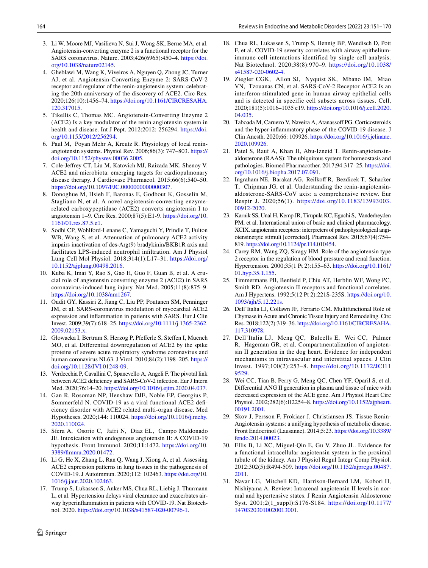- <span id="page-13-0"></span>3. Li W, Moore MJ, Vasilieva N, Sui J, Wong SK, Berne MA, et al. Angiotensin-converting enzyme 2 is a functional receptor for the SARS coronavirus. Nature. 2003;426(6965):450–4. [https://doi.](https://doi.org/10.1038/nature02145) [org/10.1038/nature02145.](https://doi.org/10.1038/nature02145)
- <span id="page-13-1"></span>4. Gheblawi M, Wang K, Viveiros A, Nguyen Q, Zhong JC, Turner AJ, et al. Angiotensin-Converting Enzyme 2: SARS-CoV-2 receptor and regulator of the renin-angiotensin system: celebrating the 20th anniversary of the discovery of ACE2. Circ Res. 2020;126(10):1456–74. [https://doi.org/10.1161/CIRCRESAHA.](https://doi.org/10.1161/CIRCRESAHA.120.317015) [120.317015.](https://doi.org/10.1161/CIRCRESAHA.120.317015)
- 5. Tikellis C, Thomas MC. Angiotensin-Converting Enzyme 2 (ACE2) Is a key modulator of the renin angiotensin system in health and disease. Int J Pept. 2012;2012: 256294. [https://doi.](https://doi.org/10.1155/2012/256294) [org/10.1155/2012/256294.](https://doi.org/10.1155/2012/256294)
- <span id="page-13-3"></span>6. Paul M, Poyan Mehr A, Kreutz R. Physiology of local reninangiotensin systems. Physiol Rev. 2006;86(3): 747–803. [https://](https://doi.org/10.1152/physrev.00036.2005) [doi.org/10.1152/physrev.00036.2005.](https://doi.org/10.1152/physrev.00036.2005)
- <span id="page-13-22"></span>7. Cole-Jefrey CT, Liu M, Katovich MJ, Raizada MK, Shenoy V. ACE2 and microbiota: emerging targets for cardiopulmonary disease therapy. J Cardiovasc Pharmacol. 2015;66(6):540–50. <https://doi.org/10.1097/FJC.0000000000000307>.
- <span id="page-13-2"></span>8. Donoghue M, Hsieh F, Baronas E, Godbout K, Gosselin M, Stagliano N, et al. A novel angiotensin-converting enzymerelated carboxypeptidase (ACE2) converts angiotensin I to angiotensin 1–9. Circ Res. 2000;87(5):E1-9. [https://doi.org/10.](https://doi.org/10.1161/01.res.87.5.e1) [1161/01.res.87.5.e1](https://doi.org/10.1161/01.res.87.5.e1).
- <span id="page-13-4"></span>9. Sodhi CP, Wohlford-Lenane C, Yamaguchi Y, Prindle T, Fulton WB, Wang S, et al. Attenuation of pulmonary ACE2 activity impairs inactivation of des-Arg(9) bradykinin/BKB1R axis and facilitates LPS-induced neutrophil infltration. Am J Physiol Lung Cell Mol Physiol. 2018;314(1):L17–31. [https://doi.org/](https://doi.org/10.1152/ajplung.00498.2016) [10.1152/ajplung.00498.2016.](https://doi.org/10.1152/ajplung.00498.2016)
- <span id="page-13-5"></span>10. Kuba K, Imai Y, Rao S, Gao H, Guo F, Guan B, et al. A crucial role of angiotensin converting enzyme 2 (ACE2) in SARS coronavirus-induced lung injury. Nat Med. 2005;11(8):875–9. [https://doi.org/10.1038/nm1267.](https://doi.org/10.1038/nm1267)
- 11. Oudit GY, Kassiri Z, Jiang C, Liu PP, Poutanen SM, Penninger JM, et al. SARS-coronavirus modulation of myocardial ACE2 expression and infammation in patients with SARS. Eur J Clin Invest. 2009;39(7):618–25. [https://doi.org/10.1111/j.1365-2362.](https://doi.org/10.1111/j.1365-2362.2009.02153.x) [2009.02153.x.](https://doi.org/10.1111/j.1365-2362.2009.02153.x)
- <span id="page-13-6"></span>12. Glowacka I, Bertram S, Herzog P, Pfefferle S, Steffen I, Muench MO, et al. Diferential downregulation of ACE2 by the spike proteins of severe acute respiratory syndrome coronavirus and human coronavirus NL63. J Virol. 2010;84(2):1198–205. [https://](https://doi.org/10.1128/JVI.01248-09) [doi.org/10.1128/JVI.01248-09](https://doi.org/10.1128/JVI.01248-09).
- <span id="page-13-7"></span>13. Verdecchia P, Cavallini C, Spanevello A, Angeli F. The pivotal link between ACE2 deficiency and SARS-CoV-2 infection. Eur J Intern Med. 2020;76:14–20. [https://doi.org/10.1016/j.ejim.2020.04.037.](https://doi.org/10.1016/j.ejim.2020.04.037)
- 14. Gan R, Rosoman NP, Henshaw DJE, Noble EP, Georgius P, Sommerfeld N. COVID-19 as a viral functional ACE2 defciency disorder with ACE2 related multi-organ disease. Med Hypotheses. 2020;144: 110024. [https://doi.org/10.1016/j.mehy.](https://doi.org/10.1016/j.mehy.2020.110024) [2020.110024](https://doi.org/10.1016/j.mehy.2020.110024).
- <span id="page-13-8"></span>15. Sfera A, Osorio C, Jafri N, Diaz EL, Campo Maldonado JE. Intoxication with endogenous angiotensin II: A COVID-19 hypothesis. Front Immunol. 2020;**11**:1472. [https://doi.org/10.](https://doi.org/10.3389/fimmu.2020.01472) [3389/fmmu.2020.01472](https://doi.org/10.3389/fimmu.2020.01472).
- <span id="page-13-9"></span>16. Li G, He X, Zhang L, Ran Q, Wang J, Xiong A, et al. Assessing ACE2 expression patterns in lung tissues in the pathogenesis of COVID-19. J Autoimmun. 2020;112: 102463. [https://doi.org/10.](https://doi.org/10.1016/j.jaut.2020.102463) [1016/j.jaut.2020.102463.](https://doi.org/10.1016/j.jaut.2020.102463)
- <span id="page-13-23"></span>17. Trump S, Lukassen S, Anker MS, Chua RL, Liebig J, Thurmann L, et al. Hypertension delays viral clearance and exacerbates airway hyperinfammation in patients with COVID-19. Nat Biotechnol. 2020.<https://doi.org/10.1038/s41587-020-00796-1>.
- <span id="page-13-24"></span>18. Chua RL, Lukassen S, Trump S, Hennig BP, Wendisch D, Pott F, et al. COVID-19 severity correlates with airway epitheliumimmune cell interactions identified by single-cell analysis. Nat Biotechnol. 2020;38(8):970–9. [https://doi.org/10.1038/](https://doi.org/10.1038/s41587-020-0602-4) [s41587-020-0602-4](https://doi.org/10.1038/s41587-020-0602-4).
- <span id="page-13-10"></span>19. Ziegler CGK, Allon SJ, Nyquist SK, Mbano IM, Miao VN, Tzouanas CN, et al. SARS-CoV-2 Receptor ACE2 Is an interferon-stimulated gene in human airway epithelial cells and is detected in specific cell subsets across tissues. Cell, 2020;181(5):1016–1035 e19. [https://doi.org/10.1016/j.cell.2020.](https://doi.org/10.1016/j.cell.2020.04.035) [04.035](https://doi.org/10.1016/j.cell.2020.04.035).
- <span id="page-13-11"></span>20. Taboada M, Caruezo V, Naveira A, Atanassoff PG. Corticosteroids and the hyper-infammatory phase of the COVID-19 disease. J Clin Anesth. 2020;66: 109926. [https://doi.org/10.1016/j.jclinane.](https://doi.org/10.1016/j.jclinane.2020.109926) [2020.109926.](https://doi.org/10.1016/j.jclinane.2020.109926)
- <span id="page-13-12"></span>21. Patel S, Rauf A, Khan H, Abu-Izneid T. Renin-angiotensinaldosterone (RAAS): The ubiquitous system for homeostasis and pathologies. Biomed Pharmacother. 2017;94:317–25. [https://doi.](https://doi.org/10.1016/j.biopha.2017.07.091) [org/10.1016/j.biopha.2017.07.091.](https://doi.org/10.1016/j.biopha.2017.07.091)
- <span id="page-13-13"></span>22. Ingraham NE, Barakat AG, Reilkoff R, Bezdicek T, Schacker T, Chipman JG, et al. Understanding the renin-angiotensinaldosterone-SARS-CoV axis: a comprehensive review. Eur Respir J. 2020;56(1). [https://doi.org/10.1183/13993003.](https://doi.org/10.1183/13993003.00912-2020) [00912-2020](https://doi.org/10.1183/13993003.00912-2020).
- <span id="page-13-14"></span>23. Karnik SS, Unal H, Kemp JR, Tirupula KC, Eguchi S, Vanderheyden PM, et al. International union of basic and clinical pharmacology. XCIX. angiotensin receptors: interpreters of pathophysiological angiotensinergic stimuli [corrected]*.* Pharmacol Rev. 2015;67(4):754– 819. [https://doi.org/10.1124/pr.114.010454.](https://doi.org/10.1124/pr.114.010454)
- <span id="page-13-15"></span>24. Carey RM, Wang ZQ, Siragy HM. Role of the angiotensin type 2 receptor in the regulation of blood pressure and renal function. Hypertension. 2000;35(1 Pt 2):155–63. [https://doi.org/10.1161/](https://doi.org/10.1161/01.hyp.35.1.155) [01.hyp.35.1.155](https://doi.org/10.1161/01.hyp.35.1.155).
- <span id="page-13-16"></span>25. Timmermans PB, Benfeld P, Chiu AT, Herblin WF, Wong PC, Smith RD. Angiotensin II receptors and functional correlates. Am J Hypertens. 1992;5(12 Pt 2):221S-235S. [https://doi.org/10.](https://doi.org/10.1093/ajh/5.12.221s) [1093/ajh/5.12.221s.](https://doi.org/10.1093/ajh/5.12.221s)
- <span id="page-13-17"></span>26. Dell'Italia LJ, Collawn JF, Ferrario CM. Multifunctional Role of Chymase in Acute and Chronic Tissue Injury and Remodeling. Circ Res. 2018;122(2):319–36. [https://doi.org/10.1161/CIRCRESAHA.](https://doi.org/10.1161/CIRCRESAHA.117.310978) [117.310978](https://doi.org/10.1161/CIRCRESAHA.117.310978).
- 27. Dell'Italia LJ, Meng QC, Balcells E, Wei CC, Palmer R, Hageman GR, et al. Compartmentalization of angiotensin II generation in the dog heart. Evidence for independent mechanisms in intravascular and interstitial spaces. J Clin Invest. 1997;100(2):253–8. [https://doi.org/10.1172/JCI11](https://doi.org/10.1172/JCI119529) [9529](https://doi.org/10.1172/JCI119529).
- <span id="page-13-18"></span>28. Wei CC, Tian B, Perry G, Meng QC, Chen YF, Oparil S, et al. Diferential ANG II generation in plasma and tissue of mice with decreased expression of the ACE gene. Am J Physiol Heart Circ Physiol. 2002;282(6):H2254–8. [https://doi.org/10.1152/ajpheart.](https://doi.org/10.1152/ajpheart.00191.2001) [00191.2001](https://doi.org/10.1152/ajpheart.00191.2001).
- <span id="page-13-19"></span>29. Skov J, Persson F, Frokiaer J, Christiansen JS. Tissue Renin-Angiotensin systems: a unifying hypothesis of metabolic disease. Front Endocrinol (Lausanne). 2014;5:23. [https://doi.org/10.3389/](https://doi.org/10.3389/fendo.2014.00023) [fendo.2014.00023.](https://doi.org/10.3389/fendo.2014.00023)
- <span id="page-13-20"></span>30. Ellis B, Li XC, Miguel-Qin E, Gu V, Zhuo JL. Evidence for a functional intracellular angiotensin system in the proximal tubule of the kidney. Am J Physiol Regul Integr Comp Physiol. 2012;302(5):R494-509. [https://doi.org/10.1152/ajpregu.00487.](https://doi.org/10.1152/ajpregu.00487.2011) [2011.](https://doi.org/10.1152/ajpregu.00487.2011)
- <span id="page-13-21"></span>31. Navar LG, Mitchell KD, Harrison-Bernard LM, Kobori H, Nishiyama A. Review: Intrarenal angiotensin II levels in normal and hypertensive states. J Renin Angiotensin Aldosterone Syst. 2001;2(1\_suppl):S176-S184. [https://doi.org/10.1177/](https://doi.org/10.1177/14703203010020013001) [14703203010020013001](https://doi.org/10.1177/14703203010020013001).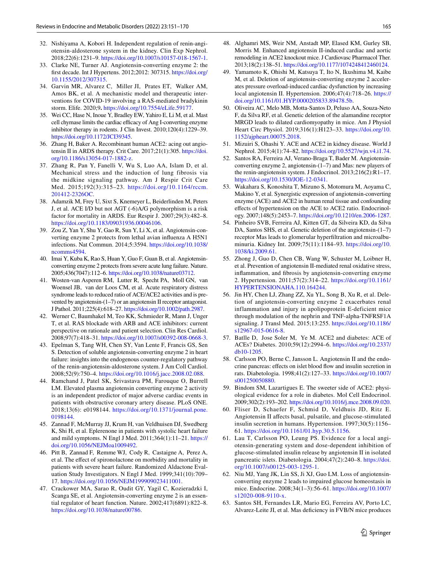- <span id="page-14-0"></span>32. Nishiyama A, Kobori H. Independent regulation of renin-angiotensin-aldosterone system in the kidney. Clin Exp Nephrol. 2018;22(6):1231–9. [https://doi.org/10.1007/s10157-018-1567-1.](https://doi.org/10.1007/s10157-018-1567-1)
- <span id="page-14-1"></span>33. Clarke NE, Turner AJ. Angiotensin-converting enzyme 2: the frst decade. Int J Hypertens. 2012;2012: 307315. [https://doi.org/](https://doi.org/10.1155/2012/307315) [10.1155/2012/307315](https://doi.org/10.1155/2012/307315).
- <span id="page-14-2"></span>34. Garvin MR, Alvarez C, Miller JI, Prates ET, Walker AM, Amos BK, et al. A mechanistic model and therapeutic interventions for COVID-19 involving a RAS-mediated bradykinin storm. Elife. 2020;9**.** [https://doi.org/10.7554/eLife.59177.](https://doi.org/10.7554/eLife.59177)
- <span id="page-14-3"></span>35. Wei CC, Hase N, Inoue Y, Bradley EW, Yahiro E, Li M, et al. Mast cell chymase limits the cardiac efficacy of Ang I-converting enzyme inhibitor therapy in rodents. J Clin Invest. 2010;120(4):1229–39. [https://doi.org/10.1172/JCI39345.](https://doi.org/10.1172/JCI39345)
- <span id="page-14-4"></span>36. Zhang H, Baker A. Recombinant human ACE2: acing out angiotensin II in ARDS therapy. Crit Care. 2017;21(1):305. [https://doi.](https://doi.org/10.1186/s13054-017-1882-z) [org/10.1186/s13054-017-1882-z.](https://doi.org/10.1186/s13054-017-1882-z)
- <span id="page-14-5"></span>37. Zhang R, Pan Y, Fanelli V, Wu S, Luo AA, Islam D, et al. Mechanical stress and the induction of lung fibrosis via the midkine signaling pathway. Am J Respir Crit Care Med. 2015;192(3):315–23. [https://doi.org/10.1164/rccm.](https://doi.org/10.1164/rccm.201412-2326OC) [201412-2326OC](https://doi.org/10.1164/rccm.201412-2326OC).
- <span id="page-14-6"></span>38. Adamzik M, Frey U, Sixt S, Knemeyer L, Beiderlinden M, Peters J, et al. ACE I/D but not AGT (-6)A/G polymorphism is a risk factor for mortality in ARDS. Eur Respir J. 2007;29(3):482–8. [https://doi.org/10.1183/09031936.00046106.](https://doi.org/10.1183/09031936.00046106)
- <span id="page-14-7"></span>39. Zou Z, Yan Y, Shu Y, Gao R, Sun Y, Li X, et al. Angiotensin-converting enzyme 2 protects from lethal avian infuenza A H5N1 infections. Nat Commun. 2014;5:3594. [https://doi.org/10.1038/](https://doi.org/10.1038/ncomms4594) [ncomms4594.](https://doi.org/10.1038/ncomms4594)
- <span id="page-14-9"></span>40. Imai Y, Kuba K, Rao S, Huan Y, Guo F, Guan B, et al. Angiotensinconverting enzyme 2 protects from severe acute lung failure. Nature. 2005;436(7047):112–6.<https://doi.org/10.1038/nature03712>.
- <span id="page-14-8"></span>41. Wosten-van Asperen RM, Lutter R, Specht PA, Moll GN, van Woensel JB, van der Loos CM, et al. Acute respiratory distress syndrome leads to reduced ratio of ACE/ACE2 activities and is prevented by angiotensin-(1–7) or an angiotensin II receptor antagonist. J Pathol. 2011;225(4):618–27. [https://doi.org/10.1002/path.2987.](https://doi.org/10.1002/path.2987)
- <span id="page-14-10"></span>42. Werner C, Baumhakel M, Teo KK, Schmieder R, Mann J, Unger T, et al. RAS blockade with ARB and ACE inhibitors: current perspective on rationale and patient selection. Clin Res Cardiol. 2008;97(7):418–31. [https://doi.org/10.1007/s00392-008-0668-3.](https://doi.org/10.1007/s00392-008-0668-3)
- <span id="page-14-11"></span>43. Epelman S, Tang WH, Chen SY, Van Lente F, Francis GS, Sen S. Detection of soluble angiotensin-converting enzyme 2 in heart failure: insights into the endogenous counter-regulatory pathway of the renin-angiotensin-aldosterone system. J Am Coll Cardiol. 2008;52(9):750–4. [https://doi.org/10.1016/j.jacc.2008.02.088.](https://doi.org/10.1016/j.jacc.2008.02.088)
- <span id="page-14-12"></span>44. Ramchand J, Patel SK, Srivastava PM, Farouque O, Burrell LM. Elevated plasma angiotensin converting enzyme 2 activity is an independent predictor of major adverse cardiac events in patients with obstructive coronary artery disease. PLoS ONE. 2018;13(6): e0198144. [https://doi.org/10.1371/journal.pone.](https://doi.org/10.1371/journal.pone.0198144) [0198144.](https://doi.org/10.1371/journal.pone.0198144)
- <span id="page-14-13"></span>45. Zannad F, McMurray JJ, Krum H, van Veldhuisen DJ, Swedberg K, Shi H, et al. Eplerenone in patients with systolic heart failure and mild symptoms. N Engl J Med. 2011;364(1):11–21. [https://](https://doi.org/10.1056/NEJMoa1009492) [doi.org/10.1056/NEJMoa1009492](https://doi.org/10.1056/NEJMoa1009492).
- <span id="page-14-14"></span>46. Pitt B, Zannad F, Remme WJ, Cody R, Castaigne A, Perez A, et al. The efect of spironolactone on morbidity and mortality in patients with severe heart failure. Randomized Aldactone Evaluation Study Investigators. N Engl J Med. 1999;341(10):709– 17.<https://doi.org/10.1056/NEJM199909023411001>.
- <span id="page-14-15"></span>47. Crackower MA, Sarao R, Oudit GY, Yagil C, Kozieradzki I, Scanga SE, et al. Angiotensin-converting enzyme 2 is an essential regulator of heart function. Nature. 2002;417(6891):822–8. [https://doi.org/10.1038/nature00786.](https://doi.org/10.1038/nature00786)
- <span id="page-14-16"></span>48. Alghamri MS, Weir NM, Anstadt MP, Elased KM, Gurley SB, Morris M. Enhanced angiotensin II-induced cardiac and aortic remodeling in ACE2 knockout mice. J Cardiovasc Pharmacol Ther. 2013;18(2):138–51. [https://doi.org/10.1177/1074248412460124.](https://doi.org/10.1177/1074248412460124)
- <span id="page-14-17"></span>49. Yamamoto K, Ohishi M, Katsuya T, Ito N, Ikushima M, Kaibe M, et al. Deletion of angiotensin-converting enzyme 2 accelerates pressure overload-induced cardiac dysfunction by increasing local angiotensin II. Hypertension. 2006;47(4):718–26. [https://](https://doi.org/10.1161/01.HYP.0000205833.89478.5b) [doi.org/10.1161/01.HYP.0000205833.89478.5b](https://doi.org/10.1161/01.HYP.0000205833.89478.5b).
- <span id="page-14-18"></span>50. Oliveira AC, Melo MB, Motta-Santos D, Peluso AA, Souza-Neto F, da Silva RF, et al. Genetic deletion of the alamandine receptor MRGD leads to dilated cardiomyopathy in mice. Am J Physiol Heart Circ Physiol. 2019;316(1):H123–33. [https://doi.org/10.](https://doi.org/10.1152/ajpheart.00075.2018) [1152/ajpheart.00075.2018](https://doi.org/10.1152/ajpheart.00075.2018).
- <span id="page-14-19"></span>51. Mizuiri S, Ohashi Y. ACE and ACE2 in kidney disease. World J Nephrol. 2015;4(1):74–82. <https://doi.org/10.5527/wjn.v4.i1.74>.
- <span id="page-14-20"></span>52. Santos RA, Ferreira AJ, Verano-Braga T, Bader M. Angiotensinconverting enzyme 2, angiotensin-(1–7) and Mas: new players of the renin-angiotensin system. J Endocrinol. 2013;216(2):R1–17. [https://doi.org/10.1530/JOE-12-0341.](https://doi.org/10.1530/JOE-12-0341)
- <span id="page-14-21"></span>53. Wakahara S, Konoshita T, Mizuno S, Motomura M, Aoyama C, Makino Y, et al. Synergistic expression of angiotensin-converting enzyme (ACE) and ACE2 in human renal tissue and confounding efects of hypertension on the ACE to ACE2 ratio. Endocrinology. 2007;148(5):2453–7.<https://doi.org/10.1210/en.2006-1287>.
- <span id="page-14-22"></span>54. Pinheiro SVB, Ferreira AJ, Kitten GT, da Silveira KD, da Silva DA, Santos SHS, et al. Genetic deletion of the angiotensin-(1–7) receptor Mas leads to glomerular hyperfltration and microalbuminuria. Kidney Int. 2009;75(11):1184–93. [https://doi.org/10.](https://doi.org/10.1038/ki.2009.61) [1038/ki.2009.61.](https://doi.org/10.1038/ki.2009.61)
- 55. Zhong J, Guo D, Chen CB, Wang W, Schuster M, Loibner H, et al. Prevention of angiotensin II-mediated renal oxidative stress, infammation, and fbrosis by angiotensin-converting enzyme 2. Hypertension. 2011;57(2):314–22. [https://doi.org/10.1161/](https://doi.org/10.1161/HYPERTENSIONAHA.110.164244) [HYPERTENSIONAHA.110.164244](https://doi.org/10.1161/HYPERTENSIONAHA.110.164244).
- <span id="page-14-23"></span>56. Jin HY, Chen LJ, Zhang ZZ, Xu YL, Song B, Xu R, et al. Deletion of angiotensin-converting enzyme 2 exacerbates renal inflammation and injury in apolipoprotein E-deficient mice through modulation of the nephrin and TNF-alpha-TNFRSF1A signaling. J Transl Med. 2015;13:255. [https://doi.org/10.1186/](https://doi.org/10.1186/s12967-015-0616-8) [s12967-015-0616-8](https://doi.org/10.1186/s12967-015-0616-8).
- <span id="page-14-24"></span>57. Batlle D, Jose Soler M, Ye M. ACE2 and diabetes: ACE of ACEs? Diabetes. 2010;59(12):2994–6. [https://doi.org/10.2337/](https://doi.org/10.2337/db10-1205) [db10-1205.](https://doi.org/10.2337/db10-1205)
- <span id="page-14-25"></span>58. Carlsson PO, Berne C, Jansson L. Angiotensin II and the endocrine pancreas: effects on islet blood flow and insulin secretion in rats. Diabetologia. 1998;41(2):127–33. [https://doi.org/10.1007/](https://doi.org/10.1007/s001250050880) [s001250050880.](https://doi.org/10.1007/s001250050880)
- <span id="page-14-26"></span>59. Bindom SM, Lazartigues E. The sweeter side of ACE2: physiological evidence for a role in diabetes. Mol Cell Endocrinol. 2009;302(2):193–202.<https://doi.org/10.1016/j.mce.2008.09.020>.
- 60. Fliser D, Schaefer F, Schmid D, Veldhuis JD, Ritz E. Angiotensin II afects basal, pulsatile, and glucose-stimulated insulin secretion in humans. Hypertension. 1997;30(5):1156– 61. [https://doi.org/10.1161/01.hyp.30.5.1156.](https://doi.org/10.1161/01.hyp.30.5.1156)
- <span id="page-14-27"></span>61. Lau T, Carlsson PO, Leung PS. Evidence for a local angiotensin-generating system and dose-dependent inhibition of glucose-stimulated insulin release by angiotensin II in isolated pancreatic islets. Diabetologia. 2004;47(2):240–8. [https://doi.](https://doi.org/10.1007/s00125-003-1295-1) [org/10.1007/s00125-003-1295-1.](https://doi.org/10.1007/s00125-003-1295-1)
- <span id="page-14-28"></span>62. Niu MJ, Yang JK, Lin SS, Ji XJ, Guo LM. Loss of angiotensinconverting enzyme 2 leads to impaired glucose homeostasis in mice. Endocrine. 2008;34(1–3):56–61. [https://doi.org/10.1007/](https://doi.org/10.1007/s12020-008-9110-x) [s12020-008-9110-x](https://doi.org/10.1007/s12020-008-9110-x).
- 63. Santos SH, Fernandes LR, Mario EG, Ferreira AV, Porto LC, Alvarez-Leite JI, et al. Mas defciency in FVB/N mice produces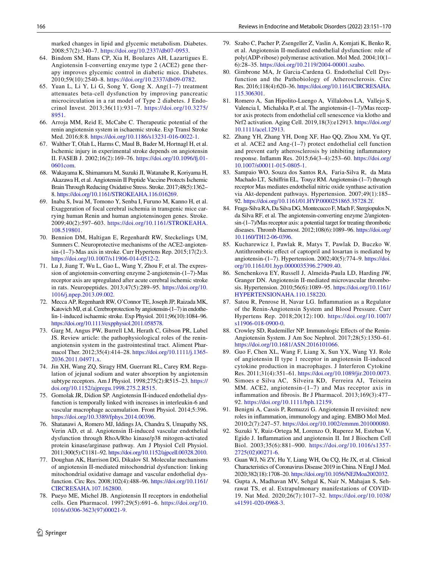marked changes in lipid and glycemic metabolism. Diabetes. 2008;57(2):340–7. <https://doi.org/10.2337/db07-0953>.

- <span id="page-15-0"></span>64. Bindom SM, Hans CP, Xia H, Boulares AH, Lazartigues E. Angiotensin I-converting enzyme type 2 (ACE2) gene therapy improves glycemic control in diabetic mice. Diabetes. 2010;59(10):2540–8. <https://doi.org/10.2337/db09-0782>.
- <span id="page-15-1"></span>65. Yuan L, Li Y, Li G, Song Y, Gong X. Ang(1–7) treatment attenuates beta-cell dysfunction by improving pancreatic microcirculation in a rat model of Type 2 diabetes. J Endocrinol Invest. 2013;36(11):931–7. [https://doi.org/10.3275/](https://doi.org/10.3275/8951) [8951](https://doi.org/10.3275/8951).
- <span id="page-15-2"></span>66. Arroja MM, Reid E, McCabe C. Therapeutic potential of the renin angiotensin system in ischaemic stroke. Exp Transl Stroke Med. 2016;8:8.<https://doi.org/10.1186/s13231-016-0022-1>.
- 67. Walther T, Olah L, Harms C, Maul B, Bader M, Hortnagl H, et al. Ischemic injury in experimental stroke depends on angiotensin II. FASEB J. 2002;16(2):169–76. [https://doi.org/10.1096/f.01-](https://doi.org/10.1096/fj.01-0601com) [0601com](https://doi.org/10.1096/fj.01-0601com).
- 68. Wakayama K, Shimamura M, Suzuki JI, Watanabe R, Koriyama H, Akazawa H, et al. Angiotensin II Peptide Vaccine Protects Ischemic Brain Through Reducing Oxidative Stress. Stroke. 2017;48(5):1362– 8. [https://doi.org/10.1161/STROKEAHA.116.016269.](https://doi.org/10.1161/STROKEAHA.116.016269)
- <span id="page-15-3"></span>69. Inaba S, Iwai M, Tomono Y, Senba I, Furuno M, Kanno H, et al. Exaggeration of focal cerebral ischemia in transgenic mice carrying human Renin and human angiotensinogen genes. Stroke. 2009;40(2):597–603. [https://doi.org/10.1161/STROKEAHA.](https://doi.org/10.1161/STROKEAHA.108.519801) [108.519801](https://doi.org/10.1161/STROKEAHA.108.519801).
- <span id="page-15-4"></span>70. Bennion DM, Haltigan E, Regenhardt RW, Steckelings UM, Sumners C. Neuroprotective mechanisms of the ACE2-angioten $sin-(1-7)$ -Mas axis in stroke. Curr Hypertens Rep. 2015;17(2):3. <https://doi.org/10.1007/s11906-014-0512-2>.
- <span id="page-15-5"></span>71. Lu J, Jiang T, Wu L, Gao L, Wang Y, Zhou F, et al. The expression of angiotensin-converting enzyme 2-angiotensin-(1–7)-Mas receptor axis are upregulated after acute cerebral ischemic stroke in rats. Neuropeptides. 2013;47(5):289–95. [https://doi.org/10.](https://doi.org/10.1016/j.npep.2013.09.002) [1016/j.npep.2013.09.002](https://doi.org/10.1016/j.npep.2013.09.002).
- <span id="page-15-6"></span>72. Mecca AP, Regenhardt RW, O'Connor TE, Joseph JP, Raizada MK, Katovich MJ, et al. Cerebroprotection by angiotensin-(1–7) in endothelin-1-induced ischaemic stroke. Exp Physiol. 2011;96(10):1084–96. [https://doi.org/10.1113/expphysiol.2011.058578.](https://doi.org/10.1113/expphysiol.2011.058578)
- <span id="page-15-7"></span>73. Garg M, Angus PW, Burrell LM, Herath C, Gibson PR, Lubel JS. Review article: the pathophysiological roles of the reninangiotensin system in the gastrointestinal tract. Aliment Pharmacol Ther. 2012;35(4):414–28. [https://doi.org/10.1111/j.1365-](https://doi.org/10.1111/j.1365-2036.2011.04971.x) [2036.2011.04971.x.](https://doi.org/10.1111/j.1365-2036.2011.04971.x)
- <span id="page-15-8"></span>74. Jin XH, Wang ZQ, Siragy HM, Guerrant RL, Carey RM. Regulation of jejunal sodium and water absorption by angiotensin subtype receptors. Am J Physiol. 1998;275(2):R515–23. [https://](https://doi.org/10.1152/ajpregu.1998.275.2.R515) [doi.org/10.1152/ajpregu.1998.275.2.R515](https://doi.org/10.1152/ajpregu.1998.275.2.R515).
- <span id="page-15-9"></span>75. Gomolak JR, Didion SP. Angiotensin II-induced endothelial dysfunction is temporally linked with increases in interleukin-6 and vascular macrophage accumulation. Front Physiol. 2014;5:396. <https://doi.org/10.3389/fphys.2014.00396>.
- <span id="page-15-14"></span>76. Shatanawi A, Romero MJ, Iddings JA, Chandra S, Umapathy NS, Verin AD, et al. Angiotensin II-induced vascular endothelial dysfunction through RhoA/Rho kinase/p38 mitogen-activated protein kinase/arginase pathway. Am J Physiol Cell Physiol. 2011;300(5):C1181–92. [https://doi.org/10.1152/ajpcell.00328.2010.](https://doi.org/10.1152/ajpcell.00328.2010)
- 77. Doughan AK, Harrison DG, Dikalov SI. Molecular mechanisms of angiotensin II-mediated mitochondrial dysfunction: linking mitochondrial oxidative damage and vascular endothelial dysfunction. Circ Res. 2008;102(4):488–96. [https://doi.org/10.1161/](https://doi.org/10.1161/CIRCRESAHA.107.162800) [CIRCRESAHA.107.162800](https://doi.org/10.1161/CIRCRESAHA.107.162800).
- <span id="page-15-12"></span>78. Pueyo ME, Michel JB. Angiotensin II receptors in endothelial cells. Gen Pharmacol. 1997;29(5):691–6. [https://doi.org/10.](https://doi.org/10.1016/s0306-3623(97)00021-9) [1016/s0306-3623\(97\)00021-9.](https://doi.org/10.1016/s0306-3623(97)00021-9)
- <span id="page-15-10"></span>79. Szabo C, Pacher P, Zsengeller Z, Vaslin A, Komjati K, Benko R, et al. Angiotensin II-mediated endothelial dysfunction: role of poly(ADP-ribose) polymerase activation. Mol Med. 2004;10(1– 6):28–35. <https://doi.org/10.2119/2004-00001.szabo>.
- <span id="page-15-11"></span>80. Gimbrone MA, Jr Garcia-Cardena G. Endothelial Cell Dysfunction and the Pathobiology of Atherosclerosis. Circ Res. 2016;118(4):620–36. [https://doi.org/10.1161/CIRCRESAHA.](https://doi.org/10.1161/CIRCRESAHA.115.306301) [115.306301.](https://doi.org/10.1161/CIRCRESAHA.115.306301)
- <span id="page-15-13"></span>81. Romero A, San Hipolito-Luengo A, Villalobos LA, Vallejo S, Valencia I, Michalska P, et al. The angiotensin-(1–7)/Mas receptor axis protects from endothelial cell senescence via klotho and Nrf2 activation. Aging Cell. 2019,18(3):e12913. [https://doi.org/](https://doi.org/10.1111/acel.12913) [10.1111/acel.12913](https://doi.org/10.1111/acel.12913).
- 82. Zhang YH, Zhang YH, Dong XF, Hao QQ, Zhou XM, Yu QT, et al. ACE2 and Ang-(1–7) protect endothelial cell function and prevent early atherosclerosis by inhibiting infammatory response. Infamm Res. 2015;64(3–4):253–60. [https://doi.org/](https://doi.org/10.1007/s00011-015-0805-1) [10.1007/s00011-015-0805-1.](https://doi.org/10.1007/s00011-015-0805-1)
- <span id="page-15-15"></span>83. Sampaio WO, Souza dos Santos RA, Faria-Silva R, da Mata Machado LT, Schifrin EL, Touyz RM. Angiotensin-(1–7) through receptor Mas mediates endothelial nitric oxide synthase activation via Akt-dependent pathways. Hypertension. 2007;49(1):185– 92. [https://doi.org/10.1161/01.HYP.0000251865.35728.2f.](https://doi.org/10.1161/01.HYP.0000251865.35728.2f)
- <span id="page-15-16"></span>84. Fraga-Silva RA, Da Silva DG, Montecucco F, Mach F, Stergiopulos N, da Silva RF, et al. The angiotensin-converting enzyme 2/angiotensin-(1–7)/Mas receptor axis: a potential target for treating thrombotic diseases. Thromb Haemost. 2012;108(6):1089–96. [https://doi.org/](https://doi.org/10.1160/TH12-06-0396) [10.1160/TH12-06-0396](https://doi.org/10.1160/TH12-06-0396).
- <span id="page-15-17"></span>85. Kucharewicz I, Pawlak R, Matys T, Pawlak D, Buczko W. Antithrombotic efect of captopril and losartan is mediated by angiotensin-(1–7). Hypertension. 2002;40(5):774–9. [https://doi.](https://doi.org/10.1161/01.hyp.0000035396.27909.40) [org/10.1161/01.hyp.0000035396.27909.40.](https://doi.org/10.1161/01.hyp.0000035396.27909.40)
- <span id="page-15-18"></span>86. Senchenkova EY, Russell J, Almeida-Paula LD, Harding JW, Granger DN. Angiotensin II-mediated microvascular thrombosis. Hypertension. 2010;56(6):1089–95. [https://doi.org/10.1161/](https://doi.org/10.1161/HYPERTENSIONAHA.110.158220) [HYPERTENSIONAHA.110.158220](https://doi.org/10.1161/HYPERTENSIONAHA.110.158220).
- <span id="page-15-19"></span>87. Satou R, Penrose H, Navar LG. Infammation as a Regulator of the Renin-Angiotensin System and Blood Pressure. Curr Hypertens Rep. 2018;20(12):100. [https://doi.org/10.1007/](https://doi.org/10.1007/s11906-018-0900-0) [s11906-018-0900-0](https://doi.org/10.1007/s11906-018-0900-0).
- <span id="page-15-24"></span>88. Crowley SD, Rudemiller NP. Immunologic Efects of the Renin-Angiotensin System. J Am Soc Nephrol. 2017;28(5):1350–61. [https://doi.org/10.1681/ASN.2016101066.](https://doi.org/10.1681/ASN.2016101066)
- <span id="page-15-21"></span>89. Guo F, Chen XL, Wang F, Liang X, Sun YX, Wang YJ. Role of angiotensin II type 1 receptor in angiotensin II-induced cytokine production in macrophages. J Interferon Cytokine Res. 2011;31(4):351–61. <https://doi.org/10.1089/jir.2010.0073>.
- <span id="page-15-22"></span>90. Simoes e Silva AC, Silveira KD, Ferreira AJ, Teixeira MM. ACE2, angiotensin-(1–7) and Mas receptor axis in infammation and fbrosis. Br J Pharmacol. 2013;169(3):477– 92. [https://doi.org/10.1111/bph.12159.](https://doi.org/10.1111/bph.12159)
- <span id="page-15-20"></span>91. Benigni A, Cassis P, Remuzzi G. Angiotensin II revisited: new roles in infammation, immunology and aging. EMBO Mol Med. 2010;2(7):247–57. [https://doi.org/10.1002/emmm.201000080.](https://doi.org/10.1002/emmm.201000080)
- <span id="page-15-23"></span>92. Suzuki Y, Ruiz-Ortega M, Lorenzo O, Ruperez M, Esteban V, Egido J. Infammation and angiotensin II. Int J Biochem Cell Biol. 2003;35(6):881–900. [https://doi.org/10.1016/s1357-](https://doi.org/10.1016/s1357-2725(02)00271-6) [2725\(02\)00271-6.](https://doi.org/10.1016/s1357-2725(02)00271-6)
- <span id="page-15-25"></span>93. Guan WJ, Ni ZY, Hu Y, Liang WH, Ou CQ, He JX, et al. Clinical Characteristics of Coronavirus Disease 2019 in China. N Engl J Med. 2020;382(18):1708–20.<https://doi.org/10.1056/NEJMoa2002032>.
- <span id="page-15-26"></span>94. Gupta A, Madhavan MV, Sehgal K, Nair N, Mahajan S, Sehrawat TS, et al. Extrapulmonary manifestations of COVID-19. Nat Med. 2020;26(7):1017–32. [https://doi.org/10.1038/](https://doi.org/10.1038/s41591-020-0968-3) [s41591-020-0968-3](https://doi.org/10.1038/s41591-020-0968-3).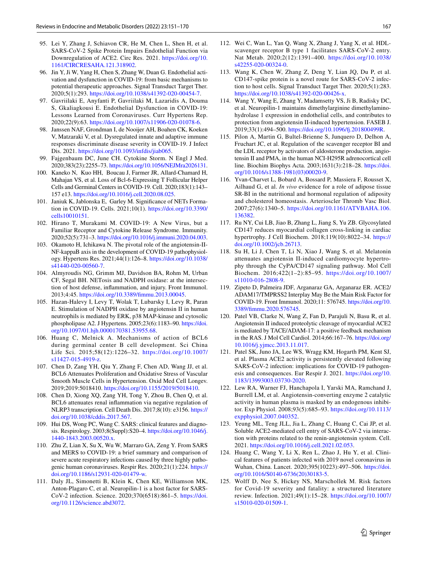- <span id="page-16-0"></span>95. Lei Y, Zhang J, Schiavon CR, He M, Chen L, Shen H, et al. SARS-CoV-2 Spike Protein Impairs Endothelial Function via Downregulation of ACE2. Circ Res. 2021. [https://doi.org/10.](https://doi.org/10.1161/CIRCRESAHA.121.318902) [1161/CIRCRESAHA.121.318902.](https://doi.org/10.1161/CIRCRESAHA.121.318902)
- <span id="page-16-1"></span>96. Jin Y, Ji W, Yang H, Chen S, Zhang W, Duan G. Endothelial activation and dysfunction in COVID-19: from basic mechanisms to potential therapeutic approaches. Signal Transduct Target Ther. 2020;5(1):293.<https://doi.org/10.1038/s41392-020-00454-7>.
- <span id="page-16-2"></span>97. Gavriilaki E, Anyfanti P, Gavriilaki M, Lazaridis A, Douma S, Gkaliagkousi E. Endothelial Dysfunction in COVID-19: Lessons Learned from Coronaviruses. Curr Hypertens Rep. 2020;22(9):63.<https://doi.org/10.1007/s11906-020-01078-6>.
- <span id="page-16-3"></span>98. Janssen NAF, Grondman I, de Nooijer AH, Boahen CK, Koeken V, Matzaraki V, et al. Dysregulated innate and adaptive immune responses discriminate disease severity in COVID-19. J Infect Dis. 2021.<https://doi.org/10.1093/infdis/jiab065>.
- 99. Fajgenbaum DC, June CH. Cytokine Storm. N Engl J Med. 2020;383(23):2255–73. [https://doi.org/10.1056/NEJMra2026131.](https://doi.org/10.1056/NEJMra2026131)
- <span id="page-16-9"></span>100. Kaneko N, Kuo HH, Boucau J, Farmer JR, Allard-Chamard H, Mahajan VS, et al. Loss of Bcl-6-Expressing T Follicular Helper Cells and Germinal Centers in COVID-19. Cell. 2020;183(1):143– 157 e13.<https://doi.org/10.1016/j.cell.2020.08.025>.
- <span id="page-16-4"></span>101. Janiuk K, Jablonska E, Garley M. Signifcance of NETs Formation in COVID-19. Cells. 2021;10(1). [https://doi.org/10.3390/](https://doi.org/10.3390/cells10010151) [cells10010151.](https://doi.org/10.3390/cells10010151)
- <span id="page-16-5"></span>102. Hirano T, Murakami M. COVID-19: A New Virus, but a Familiar Receptor and Cytokine Release Syndrome. Immunity. 2020;52(5):731–3. [https://doi.org/10.1016/j.immuni.2020.04.003.](https://doi.org/10.1016/j.immuni.2020.04.003)
- <span id="page-16-6"></span>103. Okamoto H, Ichikawa N. The pivotal role of the angiotensin-II-NF-kappaB axis in the development of COVID-19 pathophysiology. Hypertens Res. 2021;44(1):126–8. [https://doi.org/10.1038/](https://doi.org/10.1038/s41440-020-00560-7) [s41440-020-00560-7.](https://doi.org/10.1038/s41440-020-00560-7)
- <span id="page-16-7"></span>104. Almyroudis NG, Grimm MJ, Davidson BA, Rohm M, Urban CF, Segal BH. NETosis and NADPH oxidase: at the intersection of host defense, infammation, and injury. Front Immunol. 2013;4:45. [https://doi.org/10.3389/fmmu.2013.00045](https://doi.org/10.3389/fimmu.2013.00045).
- <span id="page-16-8"></span>105. Hazan-Halevy I, Levy T, Wolak T, Lubarsky I, Levy R, Paran E. Stimulation of NADPH oxidase by angiotensin II in human neutrophils is mediated by ERK, p38 MAP-kinase and cytosolic phospholipase A2. J Hypertens. 2005;23(6):1183–90. [https://doi.](https://doi.org/10.1097/01.hjh.0000170381.53955.68) [org/10.1097/01.hjh.0000170381.53955.68.](https://doi.org/10.1097/01.hjh.0000170381.53955.68)
- <span id="page-16-10"></span>106. Huang C, Melnick A. Mechanisms of action of BCL6 during germinal center B cell development. Sci China Life Sci. 2015;58(12):1226–32. [https://doi.org/10.1007/](https://doi.org/10.1007/s11427-015-4919-z) [s11427-015-4919-z.](https://doi.org/10.1007/s11427-015-4919-z)
- 107. Chen D, Zang YH, Qiu Y, Zhang F, Chen AD, Wang JJ, et al. BCL6 Attenuates Proliferation and Oxidative Stress of Vascular Smooth Muscle Cells in Hypertension. Oxid Med Cell Longev. 2019;2019:5018410. [https://doi.org/10.1155/2019/5018410.](https://doi.org/10.1155/2019/5018410)
- <span id="page-16-11"></span>108. Chen D, Xiong XQ, Zang YH, Tong Y, Zhou B, Chen Q, et al. BCL6 attenuates renal infammation via negative regulation of NLRP3 transcription. Cell Death Dis. 2017;8(10): e3156. [https://](https://doi.org/10.1038/cddis.2017.567) [doi.org/10.1038/cddis.2017.567](https://doi.org/10.1038/cddis.2017.567).
- <span id="page-16-12"></span>109. Hui DS, Wong PC, Wang C. SARS: clinical features and diagnosis. Respirology. 2003;8(Suppl):S20–4. [https://doi.org/10.1046/j.](https://doi.org/10.1046/j.1440-1843.2003.00520.x) [1440-1843.2003.00520.x](https://doi.org/10.1046/j.1440-1843.2003.00520.x).
- <span id="page-16-13"></span>110. Zhu Z, Lian X, Su X, Wu W, Marraro GA, Zeng Y. From SARS and MERS to COVID-19: a brief summary and comparison of severe acute respiratory infections caused by three highly pathogenic human coronaviruses. Respir Res. 2020;21(1):224. [https://](https://doi.org/10.1186/s12931-020-01479-w) [doi.org/10.1186/s12931-020-01479-w](https://doi.org/10.1186/s12931-020-01479-w).
- <span id="page-16-14"></span>111. Daly JL, Simonetti B, Klein K, Chen KE, Williamson MK, Anton-Plagaro C, et al. Neuropilin-1 is a host factor for SARS-CoV-2 infection. Science. 2020;370(6518):861–5. [https://doi.](https://doi.org/10.1126/science.abd3072) [org/10.1126/science.abd3072.](https://doi.org/10.1126/science.abd3072)
- 112. Wei C, Wan L, Yan Q, Wang X, Zhang J, Yang X, et al. HDL-
- scavenger receptor B type 1 facilitates SARS-CoV-2 entry. Nat Metab. 2020;2(12):1391–400. [https://doi.org/10.1038/](https://doi.org/10.1038/s42255-020-00324-0) [s42255-020-00324-0.](https://doi.org/10.1038/s42255-020-00324-0)
- <span id="page-16-15"></span>113. Wang K, Chen W, Zhang Z, Deng Y, Lian JQ, Du P, et al. CD147-spike protein is a novel route for SARS-CoV-2 infection to host cells. Signal Transduct Target Ther. 2020;5(1):283. [https://doi.org/10.1038/s41392-020-00426-x.](https://doi.org/10.1038/s41392-020-00426-x)
- <span id="page-16-16"></span>114. Wang Y, Wang E, Zhang Y, Madamsetty VS, Ji B, Radisky DC, et al. Neuropilin-1 maintains dimethylarginine dimethylaminohydrolase 1 expression in endothelial cells, and contributes to protection from angiotensin II-induced hypertension. FASEB J. 2019;33(1):494–500. [https://doi.org/10.1096/f.201800499R.](https://doi.org/10.1096/fj.201800499R)
- 115. Pilon A, Martin G, Bultel-Brienne S, Junquero D, Delhon A, Fruchart JC, et al. Regulation of the scavenger receptor BI and the LDL receptor by activators of aldosterone production, angiotensin II and PMA, in the human NCI-H295R adrenocortical cell line. Biochim Biophys Acta. 2003;1631(3):218–28. [https://doi.](https://doi.org/10.1016/s1388-1981(03)00020-9) [org/10.1016/s1388-1981\(03\)00020-9](https://doi.org/10.1016/s1388-1981(03)00020-9).
- 116. Yvan-Charvet L, Bobard A, Bossard P, Massiera F, Rousset X, Ailhaud G, et al. *In vivo* evidence for a role of adipose tissue SR-BI in the nutritional and hormonal regulation of adiposity and cholesterol homeostasis. Arterioscler Thromb Vasc Biol. 2007;27(6):1340–5. [https://doi.org/10.1161/ATVBAHA.106.](https://doi.org/10.1161/ATVBAHA.106.136382) [136382](https://doi.org/10.1161/ATVBAHA.106.136382).
- 117. Ru NY, Cui LB, Jiao B, Zhang L, Jiang S, Yu ZB. Glycosylated CD147 reduces myocardial collagen cross-linking in cardiac hypertrophy. J Cell Biochem. 2018;119(10):8022–34. [https://](https://doi.org/10.1002/jcb.26713) [doi.org/10.1002/jcb.26713.](https://doi.org/10.1002/jcb.26713)
- <span id="page-16-17"></span>118. Su H, Li J, Chen T, Li N, Xiao J, Wang S, et al. Melatonin attenuates angiotensin II-induced cardiomyocyte hypertrophy through the CyPA/CD147 signaling pathway. Mol Cell Biochem. 2016;422(1–2):85–95. [https://doi.org/10.1007/](https://doi.org/10.1007/s11010-016-2808-9) [s11010-016-2808-9](https://doi.org/10.1007/s11010-016-2808-9).
- <span id="page-16-18"></span>119. Zipeto D, Palmeira JDF, Arganaraz GA, Arganaraz ER. ACE2/ ADAM17/TMPRSS2 Interplay May Be the Main Risk Factor for COVID-19. Front Immunol. 2020;11: 576745. [https://doi.org/10.](https://doi.org/10.3389/fimmu.2020.576745) [3389/fmmu.2020.576745.](https://doi.org/10.3389/fimmu.2020.576745)
- <span id="page-16-19"></span>120. Patel VB, Clarke N, Wang Z, Fan D, Parajuli N, Basu R, et al. Angiotensin II induced proteolytic cleavage of myocardial ACE2 is mediated by TACE/ADAM-17: a positive feedback mechanism in the RAS. J Mol Cell Cardiol. 2014;66:167–76. [https://doi.org/](https://doi.org/10.1016/j.yjmcc.2013.11.017) [10.1016/j.yjmcc.2013.11.017.](https://doi.org/10.1016/j.yjmcc.2013.11.017)
- <span id="page-16-20"></span>121. Patel SK, Juno JA, Lee WS, Wragg KM, Hogarth PM, Kent SJ, et al. Plasma ACE2 activity is persistently elevated following SARS-CoV-2 infection: implications for COVID-19 pathogenesis and consequences. Eur Respir J. 2021. [https://doi.org/10.](https://doi.org/10.1183/13993003.03730-2020) [1183/13993003.03730-2020](https://doi.org/10.1183/13993003.03730-2020).
- <span id="page-16-21"></span>122. Lew RA, Warner FJ, Hanchapola I, Yarski MA, Ramchand J, Burrell LM, et al. Angiotensin-converting enzyme 2 catalytic activity in human plasma is masked by an endogenous inhibitor. Exp Physiol. 2008;93(5):685–93. [https://doi.org/10.1113/](https://doi.org/10.1113/expphysiol.2007.040352) [expphysiol.2007.040352.](https://doi.org/10.1113/expphysiol.2007.040352)
- <span id="page-16-22"></span>123. Yeung ML, Teng JLL, Jia L, Zhang C, Huang C, Cai JP, et al. Soluble ACE2-mediated cell entry of SARS-CoV-2 via interaction with proteins related to the renin-angiotensin system. Cell. 2021.<https://doi.org/10.1016/j.cell.2021.02.053>.
- <span id="page-16-23"></span>124. Huang C, Wang Y, Li X, Ren L, Zhao J, Hu Y, et al. Clinical features of patients infected with 2019 novel coronavirus in Wuhan, China. Lancet. 2020;395(10223):497–506. [https://doi.](https://doi.org/10.1016/S0140-6736(20)30183-5) [org/10.1016/S0140-6736\(20\)30183-5.](https://doi.org/10.1016/S0140-6736(20)30183-5)
- 125. Wolff D, Nee S, Hickey NS, Marschollek M. Risk factors for Covid-19 severity and fatality: a structured literature review. Infection. 2021;49(1):15–28. [https://doi.org/10.1007/](https://doi.org/10.1007/s15010-020-01509-1) [s15010-020-01509-1.](https://doi.org/10.1007/s15010-020-01509-1)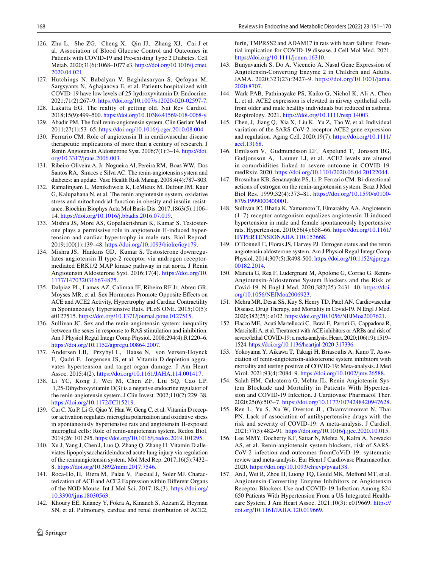- 126. Zhu L, She ZG, Cheng X, Qin JJ, Zhang XJ, Cai J et al. Association of Blood Glucose Control and Outcomes in Patients with COVID-19 and Pre-existing Type 2 Diabetes. Cell Metab. 2020;31(6):1068–1077 e3. [https://doi.org/10.1016/j.cmet.](https://doi.org/10.1016/j.cmet.2020.04.021) [2020.04.021](https://doi.org/10.1016/j.cmet.2020.04.021).
- <span id="page-17-0"></span>127. Hutchings N, Babalyan V, Baghdasaryan S, Qefoyan M, Sargsyants N, Aghajanova E, et al. Patients hospitalized with COVID-19 have low levels of 25-hydroxyvitamin D. Endocrine. 2021;71(2):267–9. [https://doi.org/10.1007/s12020-020-02597-7.](https://doi.org/10.1007/s12020-020-02597-7)
- <span id="page-17-1"></span>128. Lakatta EG. The reality of getting old. Nat Rev Cardiol. 2018;15(9):499–500.<https://doi.org/10.1038/s41569-018-0068-y>.
- 129. Abadir PM. The frail renin-angiotensin system. Clin Geriatr Med. 2011;27(1):53–65. [https://doi.org/10.1016/j.cger.2010.08.004.](https://doi.org/10.1016/j.cger.2010.08.004)
- 130. Ferrario CM. Role of angiotensin II in cardiovascular disease therapeutic implications of more than a century of research. J Renin Angiotensin Aldosterone Syst. 2006;7(1):3–14. [https://doi.](https://doi.org/10.3317/jraas.2006.003) [org/10.3317/jraas.2006.003](https://doi.org/10.3317/jraas.2006.003).
- 131. Ribeiro-Oliveira A, Jr Nogueira AI, Pereira RM, Boas WW, Dos Santos RA, Simoes e Silva AC. The renin-angiotensin system and diabetes: an update. Vasc Health Risk Manag. 2008;4(4):787–803.
- <span id="page-17-2"></span>132. Ramalingam L, Menikdiwela K, LeMieux M, Dufour JM, Kaur G, Kalupahana N, et al. The renin angiotensin system, oxidative stress and mitochondrial function in obesity and insulin resistance. Biochim Biophys Acta Mol Basis Dis. 2017;1863(5):1106– 14. [https://doi.org/10.1016/j.bbadis.2016.07.019.](https://doi.org/10.1016/j.bbadis.2016.07.019)
- <span id="page-17-3"></span>133. Mishra JS, More AS, Gopalakrishnan K, Kumar S. Testosterone plays a permissive role in angiotensin II-induced hypertension and cardiac hypertrophy in male rats. Biol Reprod. 2019;100(1):139–48. [https://doi.org/10.1093/biolre/ioy179.](https://doi.org/10.1093/biolre/ioy179)
- 134. Mishra JS, Hankins GD, Kumar S. Testosterone downregulates angiotensin II type-2 receptor via androgen receptormediated ERK1/2 MAP kinase pathway in rat aorta*.* J Renin Angiotensin Aldosterone Syst. 2016;17(4). [https://doi.org/10.](https://doi.org/10.1177/1470320316674875) [1177/1470320316674875](https://doi.org/10.1177/1470320316674875).
- <span id="page-17-13"></span>135. Dalpiaz PL, Lamas AZ, Caliman IF, Ribeiro RF Jr, Abreu GR, Moyses MR, et al. Sex Hormones Promote Opposite Efects on ACE and ACE2 Activity, Hypertrophy and Cardiac Contractility in Spontaneously Hypertensive Rats. PLoS ONE. 2015;10(5): e0127515. <https://doi.org/10.1371/journal.pone.0127515>.
- <span id="page-17-5"></span>136. Sullivan JC. Sex and the renin-angiotensin system: inequality between the sexes in response to RAS stimulation and inhibition. Am J Physiol Regul Integr Comp Physiol. 2008;294(4):R1220–6. <https://doi.org/10.1152/ajpregu.00864.2007>.
- <span id="page-17-6"></span>137. Andersen LB, Przybyl L, Haase N, von Versen-Hoynck F, Qadri F, Jorgensen JS, et al. Vitamin D depletion aggravates hypertension and target-organ damage*.* J Am Heart Assoc. 2015;4(2). <https://doi.org/10.1161/JAHA.114.001417>.
- 138. Li YC, Kong J, Wei M, Chen ZF, Liu SQ, Cao LP. 1,25-Dihydroxyvitamin D(3) is a negative endocrine regulator of the renin-angiotensin system. J Clin Invest. 2002;110(2):229–38. [https://doi.org/10.1172/JCI15219.](https://doi.org/10.1172/JCI15219)
- 139. Cui C, Xu P, Li G, Qiao Y, Han W, Geng C, et al. Vitamin D receptor activation regulates microglia polarization and oxidative stress in spontaneously hypertensive rats and angiotensin II-exposed microglial cells: Role of renin-angiotensin system. Redox Biol. 2019;26: 101295. <https://doi.org/10.1016/j.redox.2019.101295>.
- <span id="page-17-4"></span>140. Xu J, Yang J, Chen J, Luo Q, Zhang Q, Zhang H. Vitamin D alleviates lipopolysaccharideinduced acute lung injury via regulation of the reninangiotensin system. Mol Med Rep. 2017;16(5):7432– 8. [https://doi.org/10.3892/mmr.2017.7546.](https://doi.org/10.3892/mmr.2017.7546)
- <span id="page-17-7"></span>141. Roca-Ho, H, Riera M, Palau V, Pascual J, Soler MJ. Characterization of ACE and ACE2 Expression within Diferent Organs of the NOD Mouse*.* Int J Mol Sci, 2017;18**.**(3). [https://doi.org/](https://doi.org/10.3390/ijms18030563) [10.3390/ijms18030563.](https://doi.org/10.3390/ijms18030563)
- <span id="page-17-8"></span>142. Khoury EE, Knaney Y, Fokra A, Kinaneh S, Azzam Z, Heyman SN, et al. Pulmonary, cardiac and renal distribution of ACE2,

furin, TMPRSS2 and ADAM17 in rats with heart failure: Potential implication for COVID-19 disease. J Cell Mol Med. 2021. [https://doi.org/10.1111/jcmm.16310.](https://doi.org/10.1111/jcmm.16310)

- <span id="page-17-9"></span>143. Bunyavanich S, Do A, Vicencio A. Nasal Gene Expression of Angiotensin-Converting Enzyme 2 in Children and Adults. JAMA. 2020;323(23):2427–9. [https://doi.org/10.1001/jama.](https://doi.org/10.1001/jama.2020.8707) [2020.8707](https://doi.org/10.1001/jama.2020.8707).
- <span id="page-17-10"></span>144. Wark PAB, Pathinayake PS, Kaiko G, Nichol K, Ali A, Chen L, et al. ACE2 expression is elevated in airway epithelial cells from older and male healthy individuals but reduced in asthma. Respirology. 2021. [https://doi.org/10.1111/resp.14003.](https://doi.org/10.1111/resp.14003)
- <span id="page-17-11"></span>145. Chen, J, Jiang Q, Xia X, Liu K, Yu Z, Tao W, et al. Individual variation of the SARS-CoV-2 receptor ACE2 gene expression and regulation*.* Aging Cell. 2020;19(7). [https://doi.org/10.1111/](https://doi.org/10.1111/acel.13168) [acel.13168](https://doi.org/10.1111/acel.13168).
- <span id="page-17-12"></span>146. Emilsson V, Gudmundsson EF, Aspelund T, Jonsson BG, Gudjonsson A, Launer LJ, et al. ACE2 levels are altered in comorbidities linked to severe outcome in COVID-19*.* medRxiv. 2020.<https://doi.org/10.1101/2020.06.04.20122044>.
- <span id="page-17-14"></span>147. Brosnihan KB, Senanayake PS, Li P, Ferrario CM. Bi-directional actions of estrogen on the renin-angiotensin system. Braz J Med Biol Res. 1999;32(4):373–81. [https://doi.org/10.1590/s0100-](https://doi.org/10.1590/s0100-879x1999000400001) [879x1999000400001.](https://doi.org/10.1590/s0100-879x1999000400001)
- 148. Sullivan JC, Bhatia K, Yamamoto T, Elmarakby AA. Angiotensin (1–7) receptor antagonism equalizes angiotensin II-induced hypertension in male and female spontaneously hypertensive rats. Hypertension. 2010;56(4):658–66. [https://doi.org/10.1161/](https://doi.org/10.1161/HYPERTENSIONAHA.110.153668) [HYPERTENSIONAHA.110.153668](https://doi.org/10.1161/HYPERTENSIONAHA.110.153668).
- <span id="page-17-15"></span>149. O'Donnell E, Floras JS, Harvey PJ. Estrogen status and the renin angiotensin aldosterone system. Am J Physiol Regul Integr Comp Physiol. 2014;307(5):R498-500. [https://doi.org/10.1152/ajpregu.](https://doi.org/10.1152/ajpregu.00182.2014) [00182.2014](https://doi.org/10.1152/ajpregu.00182.2014).
- <span id="page-17-16"></span>150. Mancia G, Rea F, Ludergnani M, Apolone G, Corrao G. Renin-Angiotensin-Aldosterone System Blockers and the Risk of Covid-19. N Engl J Med. 2020;382(25):2431–40. [https://doi.](https://doi.org/10.1056/NEJMoa2006923) [org/10.1056/NEJMoa2006923](https://doi.org/10.1056/NEJMoa2006923).
- <span id="page-17-18"></span>151. Mehra MR, Desai SS, Kuy S, Henry TD, Patel AN. Cardiovascular Disease, Drug Therapy, and Mortality in Covid-19. N Engl J Med. 2020;382(25): e102. [https://doi.org/10.1056/NEJMoa2007621.](https://doi.org/10.1056/NEJMoa2007621)
- <span id="page-17-23"></span>152. Flacco ME, Acuti Martellucci C, Bravi F, Parruti G, Cappadona R, Mascitelli A, et al. Treatment with ACE inhibitors or ARBs and risk of severe/lethal COVID-19: a meta-analysis. Heart. 2020;106(19):1519– 1524. [https://doi.org/10.1136/heartjnl-2020-317336.](https://doi.org/10.1136/heartjnl-2020-317336)
- <span id="page-17-19"></span>153. Yokoyama Y, Aikawa T, Takagi H, Briasoulis A, Kuno T. Association of renin-angiotensin-aldosterone system inhibitors with mortality and testing positive of COVID-19: Meta-analysis. J Med Virol. 2021;93(4):2084–9.<https://doi.org/10.1002/jmv.26588>.
- <span id="page-17-22"></span>154. Salah HM, Calcaterra G, Mehta JL. Renin-Angiotensin System Blockade and Mortality in Patients With Hypertension and COVID-19 Infection. J Cardiovasc Pharmacol Ther. 2020;25(6):503–7. <https://doi.org/10.1177/1074248420947628>.
- <span id="page-17-20"></span>155. Ren L, Yu S, Xu W, Overton JL, Chiamvimonvat N, Thai PN. Lack of association of antihypertensive drugs with the risk and severity of COVID-19: A meta-analysis. J Cardiol. 2021;77(5):482–91. [https://doi.org/10.1016/j.jjcc.2020.10.015.](https://doi.org/10.1016/j.jjcc.2020.10.015)
- <span id="page-17-17"></span>156. Lee MMY, Docherty KF, Sattar N, Mehta N, Kalra A, Nowacki AS, et al. Renin-angiotensin system blockers, risk of SARS-CoV-2 infection and outcomes fromCoViD-19: systematic review and meta-analysis. Eur Heart J Cardiovasc Pharmacother. 2020.<https://doi.org/10.1093/ehjcvp/pvaa138>.
- <span id="page-17-21"></span>157. An J, Wei R, Zhou H, Luong TQ, Gould MK, Mefford MT, et al. Angiotensin-Converting Enzyme Inhibitors or Angiotensin Receptor Blockers Use and COVID-19 Infection Among 824 650 Patients With Hypertension From a US Integrated Healthcare System. J Am Heart Assoc. 2021;10(3): e019669. [https://](https://doi.org/10.1161/JAHA.120.019669) [doi.org/10.1161/JAHA.120.019669](https://doi.org/10.1161/JAHA.120.019669).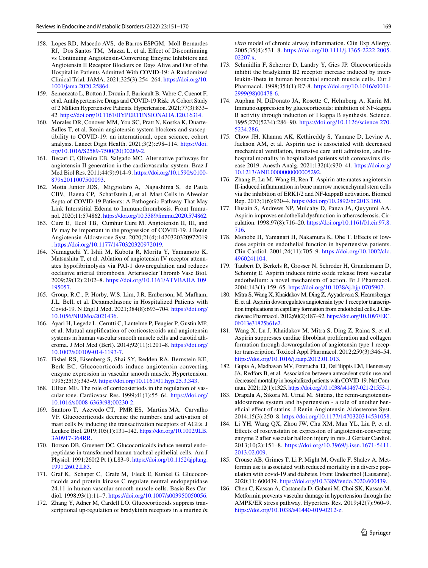- <span id="page-18-3"></span>158. Lopes RD, Macedo AVS, de Barros ESPGM, Moll-Bernardes RJ, Dos Santos TM, Mazza L, et al. Efect of Discontinuing vs Continuing Angiotensin-Converting Enzyme Inhibitors and Angiotensin II Receptor Blockers on Days Alive and Out of the Hospital in Patients Admitted With COVID-19: A Randomized Clinical Trial*.* JAMA. 2021;325(3):254–264. [https://doi.org/10.](https://doi.org/10.1001/jama.2020.25864) [1001/jama.2020.25864.](https://doi.org/10.1001/jama.2020.25864)
- <span id="page-18-1"></span>159. Semenzato L, Botton J, Drouin J, Baricault B, Vabre C, Cuenot F, et al. Antihypertensive Drugs and COVID-19 Risk: A Cohort Study of 2 Million Hypertensive Patients. Hypertension. 2021;77(3):833– 42.<https://doi.org/10.1161/HYPERTENSIONAHA.120.16314>.
- <span id="page-18-0"></span>160. Morales DR, Conover MM, You SC, Pratt N, Kostka K, Duarte-Salles T, et al. Renin-angiotensin system blockers and susceptibility to COVID-19: an international, open science, cohort analysis. Lancet Digit Health. 2021;3(2):e98–114. [https://doi.](https://doi.org/10.1016/S2589-7500(20)30289-2) [org/10.1016/S2589-7500\(20\)30289-2.](https://doi.org/10.1016/S2589-7500(20)30289-2)
- <span id="page-18-2"></span>161. Becari C, Oliveira EB, Salgado MC. Alternative pathways for angiotensin II generation in the cardiovascular system. Braz J Med Biol Res. 2011;44(9):914–9. [https://doi.org/10.1590/s0100-](https://doi.org/10.1590/s0100-879x2011007500093) [879x2011007500093](https://doi.org/10.1590/s0100-879x2011007500093).
- <span id="page-18-4"></span>162. Motta Junior JDS, Miggiolaro A, Nagashima S, de Paula CBV, Baena CP, Scharfstein J, et al. Mast Cells in Alveolar Septa of COVID-19 Patients: A Pathogenic Pathway That May Link Interstitial Edema to Immunothrombosis*.* Front Immunol. 2020;11:574862. [https://doi.org/10.3389/fmmu.2020.574862.](https://doi.org/10.3389/fimmu.2020.574862)
- <span id="page-18-5"></span>163. Cure E, Ilcol TB, Cumhur Cure M. Angiotensin II, III, and IV may be important in the progression of COVID-19*.* J Renin Angiotensin Aldosterone Syst. 2020;21(4):1470320320972019 . [https://doi.org/10.1177/1470320320972019.](https://doi.org/10.1177/1470320320972019)
- <span id="page-18-6"></span>164. Numaguchi Y, Ishii M, Kubota R, Morita Y, Yamamoto K, Matsushita T, et al. Ablation of angiotensin IV receptor attenuates hypofibrinolysis via PAI-1 downregulation and reduces occlusive arterial thrombosis. Arterioscler Thromb Vasc Biol. 2009;29(12):2102–8. [https://doi.org/10.1161/ATVBAHA.109.](https://doi.org/10.1161/ATVBAHA.109.195057) [195057](https://doi.org/10.1161/ATVBAHA.109.195057).
- <span id="page-18-7"></span>165. Group, R.C., P. Horby, W.S. Lim, J.R. Emberson, M. Mafham, J.L. Bell, et al. Dexamethasone in Hospitalized Patients with Covid-19. N Engl J Med. 2021;384(8):693–704. [https://doi.org/](https://doi.org/10.1056/NEJMoa2021436) [10.1056/NEJMoa2021436](https://doi.org/10.1056/NEJMoa2021436).
- <span id="page-18-8"></span>166. Ayari H, Legedz L, Cerutti C, Lantelme P, Feugier P, Gustin MP, et al. Mutual amplifcation of corticosteroids and angiotensin systems in human vascular smooth muscle cells and carotid atheroma. J Mol Med (Berl). 2014;92(11):1201–8. [https://doi.org/](https://doi.org/10.1007/s00109-014-1193-7) [10.1007/s00109-014-1193-7.](https://doi.org/10.1007/s00109-014-1193-7)
- 167. Fishel RS, Eisenberg S, Shai SY, Redden RA, Bernstein KE, Berk BC. Glucocorticoids induce angiotensin-converting enzyme expression in vascular smooth muscle. Hypertension. 1995;25(3):343–9. [https://doi.org/10.1161/01.hyp.25.3.343.](https://doi.org/10.1161/01.hyp.25.3.343)
- <span id="page-18-9"></span>168. Ullian ME. The role of corticosteriods in the regulation of vascular tone. Cardiovasc Res. 1999;41(1):55–64. [https://doi.org/](https://doi.org/10.1016/s0008-6363(98)00230-2) [10.1016/s0008-6363\(98\)00230-2](https://doi.org/10.1016/s0008-6363(98)00230-2).
- <span id="page-18-10"></span>169. Santoro T, Azevedo CT, PMR ES, Martins MA, Carvalho VF. Glucocorticoids decrease the numbers and activation of mast cells by inducing the transactivation receptors of AGEs. J Leukoc Biol. 2019;105(1):131–142. [https://doi.org/10.1002/JLB.](https://doi.org/10.1002/JLB.3A0917-364RR) [3A0917-364RR](https://doi.org/10.1002/JLB.3A0917-364RR).
- <span id="page-18-11"></span>170. Borson DB, Gruenert DC. Glucocorticoids induce neutral endopeptidase in transformed human tracheal epithelial cells. Am J Physiol. 1991;260(2 Pt 1):L83–9. [https://doi.org/10.1152/ajplung.](https://doi.org/10.1152/ajplung.1991.260.2.L83) [1991.260.2.L83](https://doi.org/10.1152/ajplung.1991.260.2.L83).
- 171. Graf K, Schaper C, Grafe M, Fleck E, Kunkel G. Glucocorticoids and protein kinase C regulate neutral endopeptidase 24.11 in human vascular smooth muscle cells. Basic Res Cardiol. 1998;93(1):11–7.<https://doi.org/10.1007/s003950050056>.
- 172. Zhang Y, Adner M, Cardell LO. Glucocorticoids suppress transcriptional up-regulation of bradykinin receptors in a murine *in*

*vitro* model of chronic airway infammation. Clin Exp Allergy. 2005;35(4):531–8. [https://doi.org/10.1111/j.1365-2222.2005.](https://doi.org/10.1111/j.1365-2222.2005.02207.x) [02207.x.](https://doi.org/10.1111/j.1365-2222.2005.02207.x)

- <span id="page-18-12"></span>173. Schmidlin F, Scherrer D, Landry Y, Gies JP. Glucocorticoids inhibit the bradykinin B2 receptor increase induced by interleukin-1beta in human bronchial smooth muscle cells. Eur J Pharmacol. 1998;354(1):R7-8. [https://doi.org/10.1016/s0014-](https://doi.org/10.1016/s0014-2999(98)00478-6) [2999\(98\)00478-6.](https://doi.org/10.1016/s0014-2999(98)00478-6)
- <span id="page-18-13"></span>174. Auphan N, DiDonato JA, Rosette C, Helmberg A, Karin M. Immunosuppression by glucocorticoids: inhibition of NF-kappa B activity through induction of I kappa B synthesis. Science. 1995;270(5234):286–90. [https://doi.org/10.1126/science.270.](https://doi.org/10.1126/science.270.5234.286) [5234.286.](https://doi.org/10.1126/science.270.5234.286)
- <span id="page-18-14"></span>175. Chow JH, Khanna AK, Kethireddy S, Yamane D, Levine A, Jackson AM, et al. Aspirin use is associated with decreased mechanical ventilation, intensive care unit admission, and inhospital mortality in hospitalized patients with coronavirus disease 2019. Anesth Analg. 2021;132(4):930–41. [https://doi.org/](https://doi.org/10.1213/ANE.0000000000005292) [10.1213/ANE.0000000000005292](https://doi.org/10.1213/ANE.0000000000005292).
- <span id="page-18-15"></span>176. Zhang F, Lu M, Wang H, Ren T. Aspirin attenuates angiotensin II-induced infammation in bone marrow mesenchymal stem cells via the inhibition of ERK1/2 and NF-kappaB activation. Biomed Rep. 2013;1(6):930–4. [https://doi.org/10.3892/br.2013.160.](https://doi.org/10.3892/br.2013.160)
- 177. Husain S, Andrews NP, Mulcahy D, Panza JA, Quyyumi AA. Aspirin improves endothelial dysfunction in atherosclerosis. Circulation. 1998;97(8):716–20. [https://doi.org/10.1161/01.cir.97.8.](https://doi.org/10.1161/01.cir.97.8.716) [716.](https://doi.org/10.1161/01.cir.97.8.716)
- 178. Monobe H, Yamanari H, Nakamura K, Ohe T. Efects of lowdose aspirin on endothelial function in hypertensive patients. Clin Cardiol. 2001;24(11):705–9. [https://doi.org/10.1002/clc.](https://doi.org/10.1002/clc.4960241104) [4960241104.](https://doi.org/10.1002/clc.4960241104)
- <span id="page-18-16"></span>179. Taubert D, Berkels R, Grosser N, Schroder H, Grundemann D, Schomig E. Aspirin induces nitric oxide release from vascular endothelium: a novel mechanism of action. Br J Pharmacol. 2004;143(1):159–65. [https://doi.org/10.1038/sj.bjp.0705907.](https://doi.org/10.1038/sj.bjp.0705907)
- <span id="page-18-17"></span>180. Mitra S, Wang X, Khaidakov M, Ding Z, Ayyadevera S, Hearnsberger E, et al. Aspirin downregulates angiotensin type 1 receptor transcription implications in capillary formation from endothelial cells. J Cardiovasc Pharmacol. 2012;60(2):187–92. [https://doi.org/10.1097/FJC.](https://doi.org/10.1097/FJC.0b013e31825b61e2) [0b013e31825b61e2](https://doi.org/10.1097/FJC.0b013e31825b61e2).
- <span id="page-18-18"></span>181. Wang X, Lu J, Khaidakov M, Mitra S, Ding Z, Raina S, et al. Aspirin suppresses cardiac fbroblast proliferation and collagen formation through downregulation of angiotensin type 1 receptor transcription. Toxicol Appl Pharmacol. 2012;259(3):346–54. [https://doi.org/10.1016/j.taap.2012.01.013.](https://doi.org/10.1016/j.taap.2012.01.013)
- <span id="page-18-19"></span>182. Gupta A, Madhavan MV, Poterucha TJ, DeFilippis EM, Hennessey JA, Redfors B, et al. Association between antecedent statin use and decreased mortality in hospitalized patients with COVID-19. Nat Commun. 2021;12(1):1325.<https://doi.org/10.1038/s41467-021-21553-1>.
- <span id="page-18-20"></span>183. Drapala A, Sikora M, Ufnal M. Statins, the renin-angiotensinaldosterone system and hypertension - a tale of another benefcial efect of statins. J Renin Angiotensin Aldosterone Syst. 2014;15(3):250–8. <https://doi.org/10.1177/1470320314531058>.
- <span id="page-18-21"></span>184. Li YH, Wang QX, Zhou JW, Chu XM, Man YL, Liu P, et al. Efects of rosuvastatin on expression of angiotensin-converting enzyme 2 after vascular balloon injury in rats. J Geriatr Cardiol. 2013;10(2):151–8. [https://doi.org/10.3969/j.issn.1671-5411.](https://doi.org/10.3969/j.issn.1671-5411.2013.02.009) [2013.02.009.](https://doi.org/10.3969/j.issn.1671-5411.2013.02.009)
- <span id="page-18-22"></span>185. Crouse AB, Grimes T, Li P, Might M, Ovalle F, Shalev A. Metformin use is associated with reduced mortality in a diverse population with covid-19 and diabetes. Front Endocrinol (Lausanne). 2020;11: 600439. [https://doi.org/10.3389/fendo.2020.600439.](https://doi.org/10.3389/fendo.2020.600439)
- <span id="page-18-23"></span>186. Chen C, Kassan A, Castaneda D, Gabani M, Choi SK, Kassan M. Metformin prevents vascular damage in hypertension through the AMPK/ER stress pathway. Hypertens Res. 2019;42(7):960–9. <https://doi.org/10.1038/s41440-019-0212-z>.